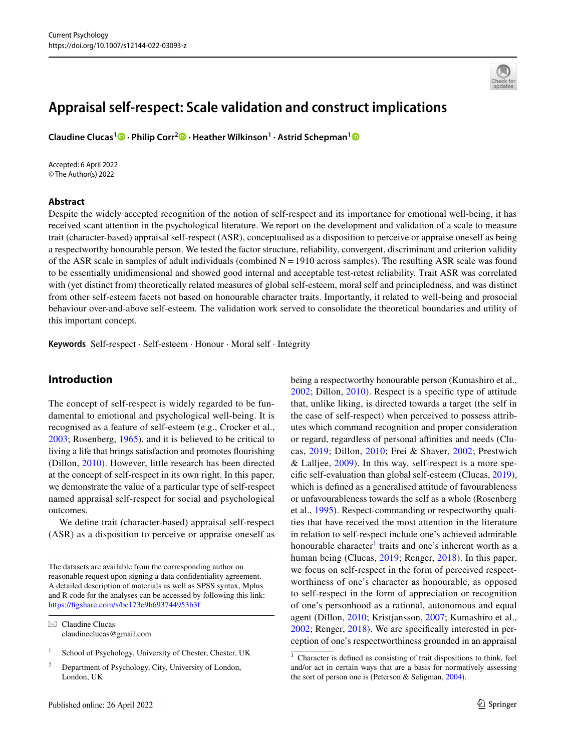# **Appraisal self‑respect: Scale validation and construct implications**

**Claudine Clucas1  [·](http://orcid.org/0000-0002-8196-9686) Philip Corr2 · Heather Wilkinson1 · Astrid Schepman[1](https://orcid.org/0000-0002-7407-362X)**

Accepted: 6 April 2022 © The Author(s) 2022

## **Abstract**



Despite the widely accepted recognition of the notion of self-respect and its importance for emotional well-being, it has received scant attention in the psychological literature. We report on the development and validation of a scale to measure trait (character-based) appraisal self-respect (ASR), conceptualised as a disposition to perceive or appraise oneself as being a respectworthy honourable person. We tested the factor structure, reliability, convergent, discriminant and criterion validity of the ASR scale in samples of adult individuals (combined  $N=1910$  across samples). The resulting ASR scale was found to be essentially unidimensional and showed good internal and acceptable test-retest reliability. Trait ASR was correlated with (yet distinct from) theoretically related measures of global self-esteem, moral self and principledness, and was distinct from other self-esteem facets not based on honourable character traits. Importantly, it related to well-being and prosocial behaviour over-and-above self-esteem. The validation work served to consolidate the theoretical boundaries and utility of this important concept.

**Keywords** Self-respect · Self-esteem · Honour · Moral self · Integrity

# **Introduction**

The concept of self-respect is widely regarded to be fundamental to emotional and psychological well-being. It is recognised as a feature of self-esteem (e.g., Crocker et al., [2003](#page-15-0); Rosenberg, [1965\)](#page-16-0), and it is believed to be critical to living a life that brings satisfaction and promotes fourishing (Dillon, [2010\)](#page-16-1). However, little research has been directed at the concept of self-respect in its own right. In this paper, we demonstrate the value of a particular type of self-respect named appraisal self-respect for social and psychological outcomes.

We defne trait (character-based) appraisal self-respect (ASR) as a disposition to perceive or appraise oneself as

 $\boxtimes$  Claudine Clucas claudineclucas@gmail.com

- <sup>1</sup> School of Psychology, University of Chester, Chester, UK
- <sup>2</sup> Department of Psychology, City, University of London, London, UK

being a respectworthy honourable person (Kumashiro et al., [2002;](#page-16-2) Dillon, [2010\)](#page-16-1). Respect is a specifc type of attitude that, unlike liking, is directed towards a target (the self in the case of self-respect) when perceived to possess attributes which command recognition and proper consideration or regard, regardless of personal afnities and needs (Clucas, [2019](#page-15-1); Dillon, [2010](#page-16-1); Frei & Shaver, [2002](#page-16-3); Prestwich & Lalljee, [2009\)](#page-16-4). In this way, self-respect is a more specifc self-evaluation than global self-esteem (Clucas, [2019](#page-15-1)), which is defned as a generalised attitude of favourableness or unfavourableness towards the self as a whole (Rosenberg et al., [1995](#page-16-5)). Respect-commanding or respectworthy qualities that have received the most attention in the literature in relation to self-respect include one's achieved admirable honourable character<sup>[1](#page-0-0)</sup> traits and one's inherent worth as a human being (Clucas, [2019;](#page-15-1) Renger, [2018\)](#page-16-6). In this paper, we focus on self-respect in the form of perceived respectworthiness of one's character as honourable, as opposed to self-respect in the form of appreciation or recognition of one's personhood as a rational, autonomous and equal agent (Dillon, [2010;](#page-16-1) Kristjansson, [2007](#page-16-7); Kumashiro et al., [2002](#page-16-2); Renger, [2018](#page-16-6)). We are specifcally interested in perception of one's respectworthiness grounded in an appraisal

The datasets are available from the corresponding author on reasonable request upon signing a data confdentiality agreement. A detailed description of materials as well as SPSS syntax, Mplus and R code for the analyses can be accessed by following this link: [https://fgshare.com/s/be173c9b693744953b3f](https://figshare.com/s/be173c9b693744953b3f)

<span id="page-0-0"></span><sup>1</sup> Character is defned as consisting of trait dispositions to think, feel and/or act in certain ways that are a basis for normatively assessing the sort of person one is (Peterson & Seligman, [2004](#page-16-8)).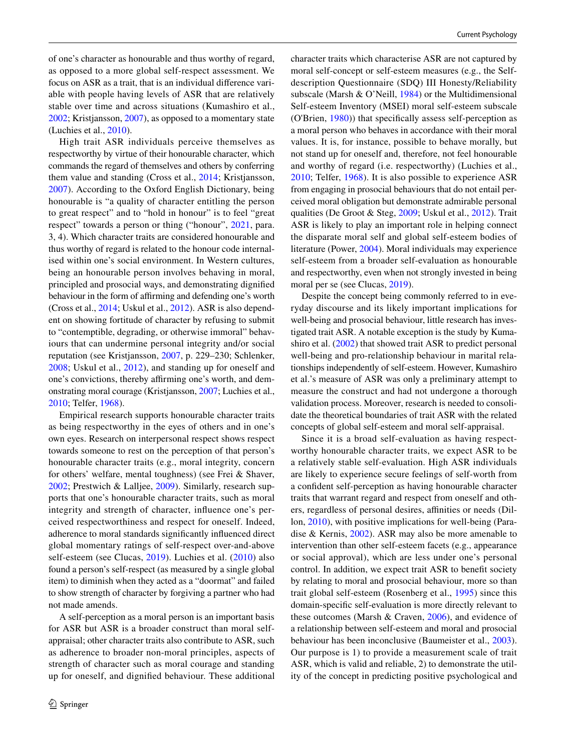of one's character as honourable and thus worthy of regard, as opposed to a more global self-respect assessment. We focus on ASR as a trait, that is an individual diference variable with people having levels of ASR that are relatively stable over time and across situations (Kumashiro et al., [2002](#page-16-2); Kristjansson, [2007](#page-16-7)), as opposed to a momentary state (Luchies et al., [2010](#page-16-9)).

High trait ASR individuals perceive themselves as respectworthy by virtue of their honourable character, which commands the regard of themselves and others by conferring them value and standing (Cross et al., [2014;](#page-15-2) Kristjansson, [2007](#page-16-7)). According to the Oxford English Dictionary, being honourable is "a quality of character entitling the person to great respect" and to "hold in honour" is to feel "great respect" towards a person or thing ("honour", [2021](#page-16-10), para. 3, 4). Which character traits are considered honourable and thus worthy of regard is related to the honour code internalised within one's social environment. In Western cultures, being an honourable person involves behaving in moral, principled and prosocial ways, and demonstrating dignifed behaviour in the form of affirming and defending one's worth (Cross et al., [2014;](#page-15-2) Uskul et al., [2012](#page-17-0)). ASR is also dependent on showing fortitude of character by refusing to submit to "contemptible, degrading, or otherwise immoral" behaviours that can undermine personal integrity and/or social reputation (see Kristjansson, [2007](#page-16-7), p. 229–230; Schlenker, [2008](#page-16-11); Uskul et al., [2012\)](#page-17-0), and standing up for oneself and one's convictions, thereby affirming one's worth, and demonstrating moral courage (Kristjansson, [2007](#page-16-7); Luchies et al., [2010](#page-16-9); Telfer, [1968](#page-17-1)).

Empirical research supports honourable character traits as being respectworthy in the eyes of others and in one's own eyes. Research on interpersonal respect shows respect towards someone to rest on the perception of that person's honourable character traits (e.g., moral integrity, concern for others' welfare, mental toughness) (see Frei & Shaver, [2002](#page-16-3); Prestwich & Lalljee, [2009](#page-16-4)). Similarly, research supports that one's honourable character traits, such as moral integrity and strength of character, infuence one's perceived respectworthiness and respect for oneself. Indeed, adherence to moral standards signifcantly infuenced direct global momentary ratings of self-respect over-and-above self-esteem (see Clucas, [2019\)](#page-15-1). Luchies et al. ([2010](#page-16-9)) also found a person's self-respect (as measured by a single global item) to diminish when they acted as a "doormat" and failed to show strength of character by forgiving a partner who had not made amends.

A self-perception as a moral person is an important basis for ASR but ASR is a broader construct than moral selfappraisal; other character traits also contribute to ASR, such as adherence to broader non-moral principles, aspects of strength of character such as moral courage and standing up for oneself, and dignifed behaviour. These additional character traits which characterise ASR are not captured by moral self-concept or self-esteem measures (e.g., the Selfdescription Questionnaire (SDQ) III Honesty/Reliability subscale (Marsh & O'Neill, [1984\)](#page-16-12) or the Multidimensional Self-esteem Inventory (MSEI) moral self-esteem subscale (O'Brien, [1980](#page-16-13))) that specifcally assess self-perception as a moral person who behaves in accordance with their moral values. It is, for instance, possible to behave morally, but not stand up for oneself and, therefore, not feel honourable and worthy of regard (i.e. respectworthy) (Luchies et al., [2010;](#page-16-9) Telfer, [1968](#page-17-1)). It is also possible to experience ASR from engaging in prosocial behaviours that do not entail perceived moral obligation but demonstrate admirable personal qualities (De Groot & Steg, [2009;](#page-16-14) Uskul et al., [2012](#page-17-0)). Trait ASR is likely to play an important role in helping connect the disparate moral self and global self-esteem bodies of literature (Power, [2004](#page-16-15)). Moral individuals may experience self-esteem from a broader self-evaluation as honourable and respectworthy, even when not strongly invested in being moral per se (see Clucas, [2019\)](#page-15-1).

Despite the concept being commonly referred to in everyday discourse and its likely important implications for well-being and prosocial behaviour, little research has investigated trait ASR. A notable exception is the study by Kumashiro et al. [\(2002\)](#page-16-2) that showed trait ASR to predict personal well-being and pro-relationship behaviour in marital relationships independently of self-esteem. However, Kumashiro et al.'s measure of ASR was only a preliminary attempt to measure the construct and had not undergone a thorough validation process. Moreover, research is needed to consolidate the theoretical boundaries of trait ASR with the related concepts of global self-esteem and moral self-appraisal.

Since it is a broad self-evaluation as having respectworthy honourable character traits, we expect ASR to be a relatively stable self-evaluation. High ASR individuals are likely to experience secure feelings of self-worth from a confdent self-perception as having honourable character traits that warrant regard and respect from oneself and others, regardless of personal desires, affinities or needs (Dillon, [2010](#page-16-1)), with positive implications for well-being (Paradise & Kernis, [2002\)](#page-16-16). ASR may also be more amenable to intervention than other self-esteem facets (e.g., appearance or social approval), which are less under one's personal control. In addition, we expect trait ASR to beneft society by relating to moral and prosocial behaviour, more so than trait global self-esteem (Rosenberg et al., [1995](#page-16-5)) since this domain-specifc self-evaluation is more directly relevant to these outcomes (Marsh & Craven, [2006](#page-16-17)), and evidence of a relationship between self-esteem and moral and prosocial behaviour has been inconclusive (Baumeister et al., [2003](#page-15-3)). Our purpose is 1) to provide a measurement scale of trait ASR, which is valid and reliable, 2) to demonstrate the utility of the concept in predicting positive psychological and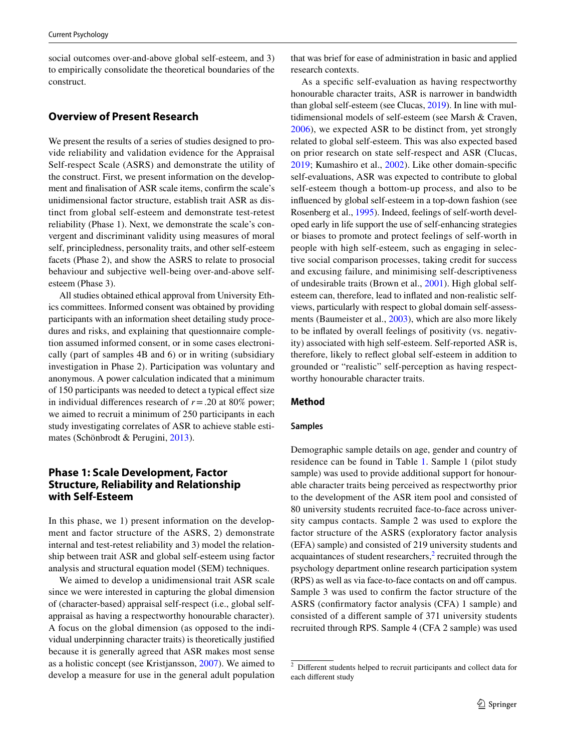social outcomes over-and-above global self-esteem, and 3) to empirically consolidate the theoretical boundaries of the construct.

# **Overview of Present Research**

We present the results of a series of studies designed to provide reliability and validation evidence for the Appraisal Self-respect Scale (ASRS) and demonstrate the utility of the construct. First, we present information on the development and fnalisation of ASR scale items, confrm the scale's unidimensional factor structure, establish trait ASR as distinct from global self-esteem and demonstrate test-retest reliability (Phase 1). Next, we demonstrate the scale's convergent and discriminant validity using measures of moral self, principledness, personality traits, and other self-esteem facets (Phase 2), and show the ASRS to relate to prosocial behaviour and subjective well-being over-and-above selfesteem (Phase 3).

All studies obtained ethical approval from University Ethics committees. Informed consent was obtained by providing participants with an information sheet detailing study procedures and risks, and explaining that questionnaire completion assumed informed consent, or in some cases electronically (part of samples 4B and 6) or in writing (subsidiary investigation in Phase 2). Participation was voluntary and anonymous. A power calculation indicated that a minimum of 150 participants was needed to detect a typical efect size in individual differences research of  $r = .20$  at 80% power; we aimed to recruit a minimum of 250 participants in each study investigating correlates of ASR to achieve stable estimates (Schönbrodt & Perugini, [2013](#page-16-18)).

# **Phase 1: Scale Development, Factor Structure, Reliability and Relationship with Self‑Esteem**

In this phase, we 1) present information on the development and factor structure of the ASRS, 2) demonstrate internal and test-retest reliability and 3) model the relationship between trait ASR and global self-esteem using factor analysis and structural equation model (SEM) techniques.

We aimed to develop a unidimensional trait ASR scale since we were interested in capturing the global dimension of (character-based) appraisal self-respect (i.e., global selfappraisal as having a respectworthy honourable character). A focus on the global dimension (as opposed to the individual underpinning character traits) is theoretically justifed because it is generally agreed that ASR makes most sense as a holistic concept (see Kristjansson, [2007\)](#page-16-7). We aimed to develop a measure for use in the general adult population that was brief for ease of administration in basic and applied research contexts.

As a specifc self-evaluation as having respectworthy honourable character traits, ASR is narrower in bandwidth than global self-esteem (see Clucas, [2019\)](#page-15-1). In line with multidimensional models of self-esteem (see Marsh & Craven, [2006\)](#page-16-17), we expected ASR to be distinct from, yet strongly related to global self-esteem. This was also expected based on prior research on state self-respect and ASR (Clucas, [2019](#page-15-1); Kumashiro et al., [2002\)](#page-16-2). Like other domain-specifc self-evaluations, ASR was expected to contribute to global self-esteem though a bottom-up process, and also to be infuenced by global self-esteem in a top-down fashion (see Rosenberg et al., [1995\)](#page-16-5). Indeed, feelings of self-worth developed early in life support the use of self-enhancing strategies or biases to promote and protect feelings of self-worth in people with high self-esteem, such as engaging in selective social comparison processes, taking credit for success and excusing failure, and minimising self-descriptiveness of undesirable traits (Brown et al., [2001](#page-15-4)). High global selfesteem can, therefore, lead to infated and non-realistic selfviews, particularly with respect to global domain self-assessments (Baumeister et al., [2003](#page-15-3)), which are also more likely to be infated by overall feelings of positivity (vs. negativity) associated with high self-esteem. Self-reported ASR is, therefore, likely to refect global self-esteem in addition to grounded or "realistic" self-perception as having respectworthy honourable character traits.

## **Method**

#### **Samples**

Demographic sample details on age, gender and country of residence can be found in Table [1](#page-3-0). Sample 1 (pilot study sample) was used to provide additional support for honourable character traits being perceived as respectworthy prior to the development of the ASR item pool and consisted of 80 university students recruited face-to-face across university campus contacts. Sample 2 was used to explore the factor structure of the ASRS (exploratory factor analysis (EFA) sample) and consisted of 219 university students and  $acquaintances$  of student researchers, $2$  recruited through the psychology department online research participation system (RPS) as well as via face-to-face contacts on and off campus. Sample 3 was used to confrm the factor structure of the ASRS (confrmatory factor analysis (CFA) 1 sample) and consisted of a diferent sample of 371 university students recruited through RPS. Sample 4 (CFA 2 sample) was used

<span id="page-2-0"></span><sup>&</sup>lt;sup>2</sup> Different students helped to recruit participants and collect data for each diferent study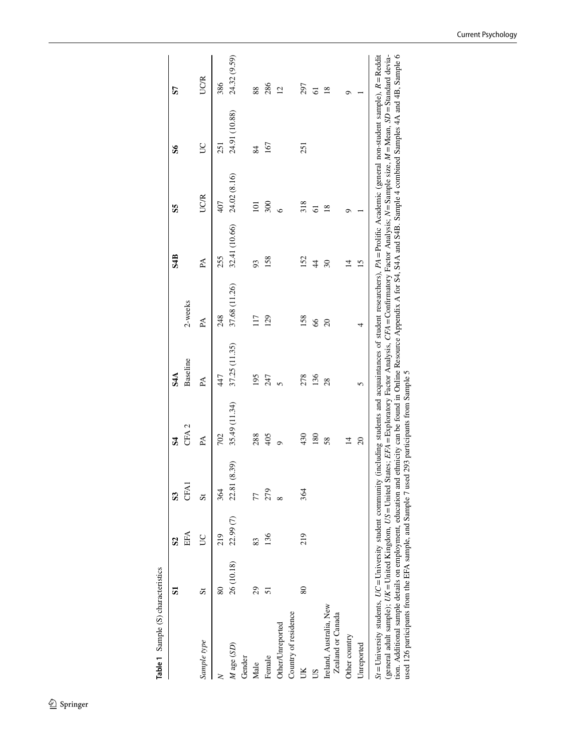|                                                                                                                                                                                                                                                                                                                                                                                                                                                                                                                                                                                           | 5  | S <sub>2</sub>             | $\mathbf{S}$ | 34               | S <sub>4</sub> A |                | S <sub>4</sub> B | SS            | $\mathbf{S}$                                                                                                            | 57             |
|-------------------------------------------------------------------------------------------------------------------------------------------------------------------------------------------------------------------------------------------------------------------------------------------------------------------------------------------------------------------------------------------------------------------------------------------------------------------------------------------------------------------------------------------------------------------------------------------|----|----------------------------|--------------|------------------|------------------|----------------|------------------|---------------|-------------------------------------------------------------------------------------------------------------------------|----------------|
|                                                                                                                                                                                                                                                                                                                                                                                                                                                                                                                                                                                           |    | EFA                        | CFA1         | CFA <sub>2</sub> | Baseline         | 2-weeks        |                  |               |                                                                                                                         |                |
| Sample type                                                                                                                                                                                                                                                                                                                                                                                                                                                                                                                                                                               | 5  | Š                          |              | PÁ               | PA               | PA             | PA               | <b>UCR</b>    | SC                                                                                                                      | <b>UCR</b>     |
| $\geq$                                                                                                                                                                                                                                                                                                                                                                                                                                                                                                                                                                                    | 80 | 219                        | 364          | 702              | 447              | 248            | 255              | 407           | 251                                                                                                                     | 386            |
| M age (SD)                                                                                                                                                                                                                                                                                                                                                                                                                                                                                                                                                                                |    | 26 (10.18) 22.99 (7) 22.81 | (8.39)       | 35.49 (11.34)    | 37.25 (11.35)    | 37.68 (11.26)  | 32.41 (10.66)    | 24.02 (8.16)  | 24.91 (10.88)                                                                                                           | 24.32 (9.59)   |
| Gender                                                                                                                                                                                                                                                                                                                                                                                                                                                                                                                                                                                    |    |                            |              |                  |                  |                |                  |               |                                                                                                                         |                |
| Male                                                                                                                                                                                                                                                                                                                                                                                                                                                                                                                                                                                      | 29 | 83                         |              | 288              | 195              | 117            | 93               | 101           | 84                                                                                                                      | 88             |
| Female                                                                                                                                                                                                                                                                                                                                                                                                                                                                                                                                                                                    | 51 | 136                        | 279          | 405              | 247              | 129            | 158              | 300           | 167                                                                                                                     | 286            |
| Other/Unreported                                                                                                                                                                                                                                                                                                                                                                                                                                                                                                                                                                          |    |                            |              | ò                |                  |                |                  | $\circ$       |                                                                                                                         | $\overline{2}$ |
| Country of residence                                                                                                                                                                                                                                                                                                                                                                                                                                                                                                                                                                      |    |                            |              |                  |                  |                |                  |               |                                                                                                                         |                |
| UK                                                                                                                                                                                                                                                                                                                                                                                                                                                                                                                                                                                        | 80 | 219                        | 364          | 430              | 278              | 158            | 152              | 318           | 251                                                                                                                     | 297            |
| SU                                                                                                                                                                                                                                                                                                                                                                                                                                                                                                                                                                                        |    |                            |              | 180              | 136              | 66             | $\overline{4}$   | 61            |                                                                                                                         | $\overline{6}$ |
| Ireland, Australia, New<br>Zealand or Canada                                                                                                                                                                                                                                                                                                                                                                                                                                                                                                                                              |    |                            |              | 58               | 28               | $\overline{c}$ | 30               | $\frac{8}{2}$ |                                                                                                                         | $\frac{8}{2}$  |
| Other country                                                                                                                                                                                                                                                                                                                                                                                                                                                                                                                                                                             |    |                            |              | $\overline{4}$   |                  |                | $\overline{4}$   | ᢦ             |                                                                                                                         | O              |
| Unreported                                                                                                                                                                                                                                                                                                                                                                                                                                                                                                                                                                                |    |                            |              | $\Omega$         | 5                | 4              | 15               |               |                                                                                                                         |                |
| $St =$ University students, $UC =$ University student community (including students and acquaintances of student researchers), $P A =$ Prolific Academic (general non-student sample), $R =$ Reddit<br>(general adult sample); <i>UK</i> = United Kingdom, <i>US</i> = United States; <i>EFA</i> = Exploratory Factor Analysis, <i>CFA</i> = Confirmatory Factor Analysis; N = Sample size, M = Mean, SD = Standard devia-<br>used 126 participants from the EFA sample, and Sample 7 used 293 participants from Sample 5<br>tion. Additional sample details on employment, education and |    |                            |              |                  |                  |                |                  |               | ethnicity can be found in Online Resource Appendix A for S4, S4A and S4B. Sample 4 combined Samples 4A and 4B, Sample 6 |                |

<span id="page-3-0"></span>Table 1 Sample (S) characteristics **Table 1** Sample (S) characteristics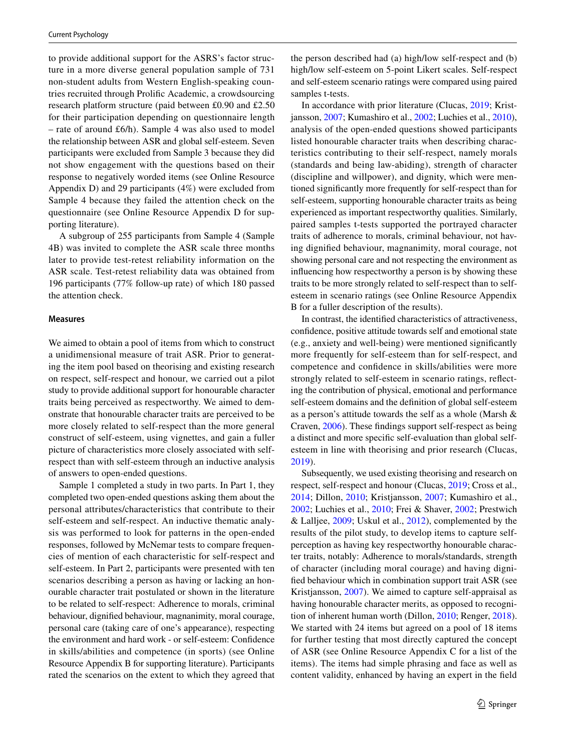to provide additional support for the ASRS's factor structure in a more diverse general population sample of 731 non-student adults from Western English-speaking countries recruited through Prolifc Academic, a crowdsourcing research platform structure (paid between £0.90 and £2.50 for their participation depending on questionnaire length – rate of around £6/h). Sample 4 was also used to model the relationship between ASR and global self-esteem. Seven participants were excluded from Sample 3 because they did not show engagement with the questions based on their response to negatively worded items (see Online Resource Appendix D) and 29 participants (4%) were excluded from Sample 4 because they failed the attention check on the questionnaire (see Online Resource Appendix D for supporting literature).

A subgroup of 255 participants from Sample 4 (Sample 4B) was invited to complete the ASR scale three months later to provide test-retest reliability information on the ASR scale. Test-retest reliability data was obtained from 196 participants (77% follow-up rate) of which 180 passed the attention check.

#### **Measures**

We aimed to obtain a pool of items from which to construct a unidimensional measure of trait ASR. Prior to generating the item pool based on theorising and existing research on respect, self-respect and honour, we carried out a pilot study to provide additional support for honourable character traits being perceived as respectworthy. We aimed to demonstrate that honourable character traits are perceived to be more closely related to self-respect than the more general construct of self-esteem, using vignettes, and gain a fuller picture of characteristics more closely associated with selfrespect than with self-esteem through an inductive analysis of answers to open-ended questions.

Sample 1 completed a study in two parts. In Part 1, they completed two open-ended questions asking them about the personal attributes/characteristics that contribute to their self-esteem and self-respect. An inductive thematic analysis was performed to look for patterns in the open-ended responses, followed by McNemar tests to compare frequencies of mention of each characteristic for self-respect and self-esteem. In Part 2, participants were presented with ten scenarios describing a person as having or lacking an honourable character trait postulated or shown in the literature to be related to self-respect: Adherence to morals, criminal behaviour, dignifed behaviour, magnanimity, moral courage, personal care (taking care of one's appearance), respecting the environment and hard work - or self-esteem: Confdence in skills/abilities and competence (in sports) (see Online Resource Appendix B for supporting literature). Participants rated the scenarios on the extent to which they agreed that the person described had (a) high/low self-respect and (b) high/low self-esteem on 5-point Likert scales. Self-respect and self-esteem scenario ratings were compared using paired samples t-tests.

In accordance with prior literature (Clucas, [2019](#page-15-1); Kristjansson, [2007;](#page-16-7) Kumashiro et al., [2002;](#page-16-2) Luchies et al., [2010](#page-16-9)), analysis of the open-ended questions showed participants listed honourable character traits when describing characteristics contributing to their self-respect, namely morals (standards and being law-abiding), strength of character (discipline and willpower), and dignity, which were mentioned signifcantly more frequently for self-respect than for self-esteem, supporting honourable character traits as being experienced as important respectworthy qualities. Similarly, paired samples t-tests supported the portrayed character traits of adherence to morals, criminal behaviour, not having dignifed behaviour, magnanimity, moral courage, not showing personal care and not respecting the environment as infuencing how respectworthy a person is by showing these traits to be more strongly related to self-respect than to selfesteem in scenario ratings (see Online Resource Appendix B for a fuller description of the results).

In contrast, the identifed characteristics of attractiveness, confdence, positive attitude towards self and emotional state (e.g., anxiety and well-being) were mentioned signifcantly more frequently for self-esteem than for self-respect, and competence and confdence in skills/abilities were more strongly related to self-esteem in scenario ratings, refecting the contribution of physical, emotional and performance self-esteem domains and the defnition of global self-esteem as a person's attitude towards the self as a whole (Marsh & Craven, [2006\)](#page-16-17). These fndings support self-respect as being a distinct and more specifc self-evaluation than global selfesteem in line with theorising and prior research (Clucas, [2019](#page-15-1)).

Subsequently, we used existing theorising and research on respect, self-respect and honour (Clucas, [2019;](#page-15-1) Cross et al., [2014;](#page-15-2) Dillon, [2010](#page-16-1); Kristjansson, [2007;](#page-16-7) Kumashiro et al., [2002](#page-16-2); Luchies et al., [2010;](#page-16-9) Frei & Shaver, [2002](#page-16-3); Prestwich & Lalljee, [2009](#page-16-4); Uskul et al., [2012](#page-17-0)), complemented by the results of the pilot study, to develop items to capture selfperception as having key respectworthy honourable character traits, notably: Adherence to morals/standards, strength of character (including moral courage) and having dignifed behaviour which in combination support trait ASR (see Kristjansson, [2007\)](#page-16-7). We aimed to capture self-appraisal as having honourable character merits, as opposed to recognition of inherent human worth (Dillon, [2010;](#page-16-1) Renger, [2018](#page-16-6)). We started with 24 items but agreed on a pool of 18 items for further testing that most directly captured the concept of ASR (see Online Resource Appendix C for a list of the items). The items had simple phrasing and face as well as content validity, enhanced by having an expert in the feld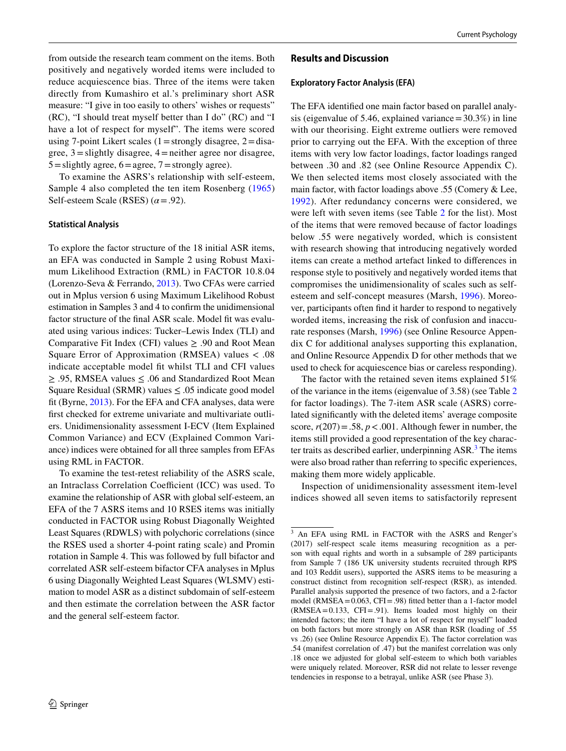from outside the research team comment on the items. Both positively and negatively worded items were included to reduce acquiescence bias. Three of the items were taken directly from Kumashiro et al.'s preliminary short ASR measure: "I give in too easily to others' wishes or requests" (RC), "I should treat myself better than I do" (RC) and "I have a lot of respect for myself". The items were scored using 7-point Likert scales  $(1=$ strongly disagree,  $2=$ disagree,  $3 =$ slightly disagree,  $4 =$ neither agree nor disagree,  $5 =$ slightly agree,  $6 =$ agree,  $7 =$ strongly agree).

To examine the ASRS's relationship with self-esteem, Sample 4 also completed the ten item Rosenberg ([1965\)](#page-16-0) Self-esteem Scale (RSES)  $(\alpha = .92)$ .

## **Statistical Analysis**

To explore the factor structure of the 18 initial ASR items, an EFA was conducted in Sample 2 using Robust Maximum Likelihood Extraction (RML) in FACTOR 10.8.04 (Lorenzo-Seva & Ferrando, [2013\)](#page-16-19). Two CFAs were carried out in Mplus version 6 using Maximum Likelihood Robust estimation in Samples 3 and 4 to confrm the unidimensional factor structure of the final ASR scale. Model fit was evaluated using various indices: Tucker–Lewis Index (TLI) and Comparative Fit Index (CFI) values  $\geq$  .90 and Root Mean Square Error of Approximation (RMSEA) values < .08 indicate acceptable model ft whilst TLI and CFI values ≥ .95, RMSEA values ≤ .06 and Standardized Root Mean Square Residual (SRMR) values  $\leq .05$  indicate good model ft (Byrne, [2013\)](#page-15-5). For the EFA and CFA analyses, data were frst checked for extreme univariate and multivariate outliers. Unidimensionality assessment I-ECV (Item Explained Common Variance) and ECV (Explained Common Variance) indices were obtained for all three samples from EFAs using RML in FACTOR.

To examine the test-retest reliability of the ASRS scale, an Intraclass Correlation Coefficient (ICC) was used. To examine the relationship of ASR with global self-esteem, an EFA of the 7 ASRS items and 10 RSES items was initially conducted in FACTOR using Robust Diagonally Weighted Least Squares (RDWLS) with polychoric correlations (since the RSES used a shorter 4-point rating scale) and Promin rotation in Sample 4. This was followed by full bifactor and correlated ASR self-esteem bifactor CFA analyses in Mplus 6 using Diagonally Weighted Least Squares (WLSMV) estimation to model ASR as a distinct subdomain of self-esteem and then estimate the correlation between the ASR factor and the general self-esteem factor.

## **Results and Discussion**

## **Exploratory Factor Analysis (EFA)**

The EFA identifed one main factor based on parallel analysis (eigenvalue of 5.46, explained variance =  $30.3\%$ ) in line with our theorising. Eight extreme outliers were removed prior to carrying out the EFA. With the exception of three items with very low factor loadings, factor loadings ranged between .30 and .82 (see Online Resource Appendix C). We then selected items most closely associated with the main factor, with factor loadings above .55 (Comery & Lee, [1992](#page-15-6)). After redundancy concerns were considered, we were left with seven items (see Table [2](#page-6-0) for the list). Most of the items that were removed because of factor loadings below .55 were negatively worded, which is consistent with research showing that introducing negatively worded items can create a method artefact linked to diferences in response style to positively and negatively worded items that compromises the unidimensionality of scales such as selfesteem and self-concept measures (Marsh, [1996\)](#page-16-20). Moreover, participants often fnd it harder to respond to negatively worded items, increasing the risk of confusion and inaccurate responses (Marsh, [1996\)](#page-16-20) (see Online Resource Appendix C for additional analyses supporting this explanation, and Online Resource Appendix D for other methods that we used to check for acquiescence bias or careless responding).

The factor with the retained seven items explained 51% of the variance in the items (eigenvalue of 3.58) (see Table [2](#page-6-0) for factor loadings). The 7-item ASR scale (ASRS) correlated signifcantly with the deleted items' average composite score,  $r(207) = .58$ ,  $p < .001$ . Although fewer in number, the items still provided a good representation of the key character traits as described earlier, underpinning ASR.<sup>3</sup> The items were also broad rather than referring to specifc experiences, making them more widely applicable.

Inspection of unidimensionality assessment item-level indices showed all seven items to satisfactorily represent

<span id="page-5-0"></span><sup>3</sup> An EFA using RML in FACTOR with the ASRS and Renger's (2017) self-respect scale items measuring recognition as a person with equal rights and worth in a subsample of 289 participants from Sample 7 (186 UK university students recruited through RPS and 103 Reddit users), supported the ASRS items to be measuring a construct distinct from recognition self-respect (RSR), as intended. Parallel analysis supported the presence of two factors, and a 2-factor model (RMSEA= $0.063$ , CFI=.98) fitted better than a 1-factor model (RMSEA=0.133, CFI=.91). Items loaded most highly on their intended factors; the item "I have a lot of respect for myself" loaded on both factors but more strongly on ASR than RSR (loading of .55 vs .26) (see Online Resource Appendix E). The factor correlation was .54 (manifest correlation of .47) but the manifest correlation was only .18 once we adjusted for global self-esteem to which both variables were uniquely related. Moreover, RSR did not relate to lesser revenge tendencies in response to a betrayal, unlike ASR (see Phase 3).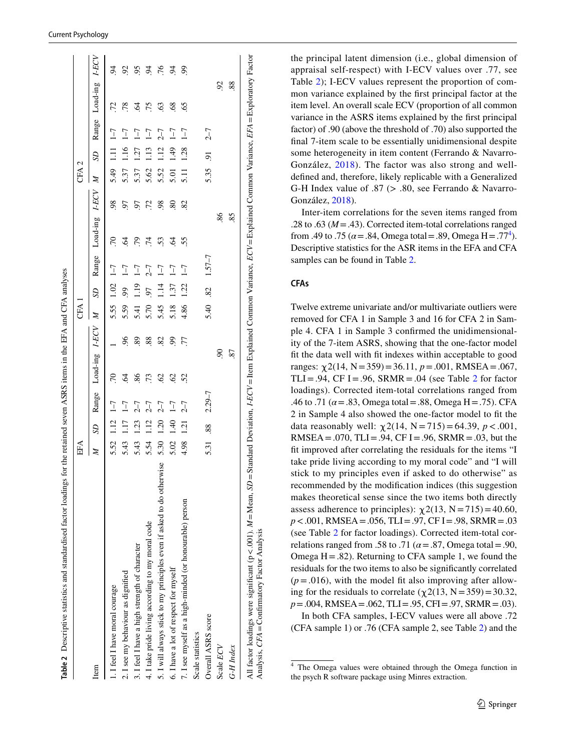|                                                                       | ЕFА  |      |            |                          |                | CFA          |                          |                |                     |             | CFA 2        |                 |                |                |             |
|-----------------------------------------------------------------------|------|------|------------|--------------------------|----------------|--------------|--------------------------|----------------|---------------------|-------------|--------------|-----------------|----------------|----------------|-------------|
| Item                                                                  | Z    | SD   | Range      | Load-ing                 | <b>LECV</b>    | $\mathbb{Z}$ | SD                       | Range          | Load-ing            | <b>LECV</b> | $\mathbb{Z}$ | SD <sub>.</sub> |                | Range Load-ing | <b>LECV</b> |
| 1. I feel I have moral courage                                        | 5.52 | 1.12 | $1 - 7$    | 70                       |                | 5.55         | 1.02                     | $1 - 7$        | .70                 | 98          | 5.49         | $\frac{11}{11}$ | $1 - 7$        | 72             | $\tilde{e}$ |
| 2. I see my behaviour as dignified                                    | 5.43 | 1.17 | $1 - 7$    | 2                        | $\frac{6}{2}$  | 5.59         | 99                       | $1 - 7$        | S                   | 97          | 5.37         | 1.16            | $1 - 7$        | 78             | 92          |
| 3. I feel I have a high strength of character                         | 5.43 | 1.23 | $2 - 7$    | 86                       | 89             | 5.41         | 1.19                     | $1 - 7$        | 79                  | 57          | 5.37         | 127             | $\overline{1}$ | $\overline{6}$ | 95          |
| 4. I take pride living according to my moral code                     | 5.54 | 1.12 | $2 - 7$    | .73                      | 88             | 5.70         | 50                       | $2 - 7$        | $\overline{7}$      | .72         | 5.62         | 1.13            | $\overline{1}$ | 75             | S,          |
| 5. I will always stick to my principles even if asked to do otherwise | 5.30 | 1.20 | $2 - 7$    | 62                       | 82             | 5.45         | 114                      | $1\!\!-\!\!7$  | 53                  | 98          | 5.52         | 12              | $7 - 7$        | 63             | 76          |
| 6. I have a lot of respect for myself                                 | 5.02 | 1.40 | $1 - 7$    | 62                       | $\overline{6}$ | 5.18         | 137                      | $\overline{1}$ | $\ddot{\mathrm{6}}$ | 80          | 5.01         | 1.49            | $\overline{1}$ | $\frac{8}{9}$  | Z.          |
| 7. I see myself as a high-minded (or honourable) person               | 4.98 | 121  | $2 - 7$    | 52                       | 77             | 4.86         | 1.22                     | $1 - 7$        | 55                  | 82          | 5.11         | 1.28            | $1 - 7$        | 65             | S,          |
| Scale statistics                                                      |      |      |            |                          |                |              |                          |                |                     |             |              |                 |                |                |             |
| Overall ASRS score                                                    | 5.31 | 88   | $2.29 - 7$ |                          |                | 5.40         | $\overline{\mathcal{S}}$ | $1.57 - 7$     |                     |             | 5.35         | 5               | $2 - 7$        |                |             |
| Scale ECV                                                             |      |      |            | $\overline{\mathcal{S}}$ |                |              |                          |                | 86.                 |             |              |                 |                | $\mathcal{S}$  |             |
| G-H Index                                                             |      |      |            | .87                      |                |              |                          |                | 85                  |             |              |                 |                | 88             |             |

the principal latent dimension (i.e., global dimension of appraisal self-respect) with I-ECV values over .77, see Table [2\)](#page-6-0); I-ECV values represent the proportion of common variance explained by the frst principal factor at the item level. An overall scale ECV (proportion of all common variance in the ASRS items explained by the frst principal factor) of .90 (above the threshold of .70) also supported the fnal 7-item scale to be essentially unidimensional despite some heterogeneity in item content (Ferrando & Navarro-González, [2018\)](#page-16-21). The factor was also strong and welldefned and, therefore, likely replicable with a Generalized G-H Index value of .87 (> .80, see Ferrando & Navarro-González, [2018](#page-16-21)).

Inter-item correlations for the seven items ranged from .28 to .63 ( $M = .43$ ). Corrected item-total correlations ranged from .49 to .75 ( $\alpha$  = .84, Omega total = .89, Omega H = .77<sup>4</sup>). Descriptive statistics for the ASR items in the EFA and CFA samples can be found in Table [2.](#page-6-0)

# **CFAs**

Twelve extreme univariate and/or multivariate outliers were removed for CFA 1 in Sample 3 and 16 for CFA 2 in Sample 4. CFA 1 in Sample 3 confrmed the unidimensionality of the 7-item ASRS, showing that the one-factor model ft the data well with ft indexes within acceptable to good ranges:  $\chi$ 2(14, N = 359) = 36.11, *p* = .001, RMSEA = .067, TLI=.94, CF I=.96, SRMR=.04 (see Table [2](#page-6-0) for factor loadings). Corrected item-total correlations ranged from .46 to .71 ( $\alpha$  = .83, Omega total = .88, Omega H = .75). CFA 2 in Sample 4 also showed the one-factor model to ft the data reasonably well:  $\chi$ 2(14, N = 715) = 64.39, *p* < .001, RMSEA = .070, TLI = .94, CF I = .96, SRMR = .03, but the ft improved after correlating the residuals for the items "I take pride living according to my moral code" and "I will stick to my principles even if asked to do otherwise" as recommended by the modifcation indices (this suggestion makes theoretical sense since the two items both directly assess adherence to principles):  $\chi$ 2(13, N = 715) = 40.60, *p*<.001, RMSEA=.056, TLI=.97, CF I=.98, SRMR=.03 (see Table [2](#page-6-0) for factor loadings). Corrected item-total correlations ranged from .58 to .71 ( $\alpha$  = .87, Omega total = .90, Omega  $H = .82$ ). Returning to CFA sample 1, we found the residuals for the two items to also be signifcantly correlated  $(p=.016)$ , with the model fit also improving after allowing for the residuals to correlate  $(\gamma 2(13, N=359)=30.32,$ *p*=.004, RMSEA=.062, TLI=.95, CFI=.97, SRMR=.03).

In both CFA samples, I-ECV values were all above .72 (CFA sample 1) or .76 (CFA sample 2, see Table [2](#page-6-0)) and the

<span id="page-6-1"></span><span id="page-6-0"></span><sup>4</sup> The Omega values were obtained through the Omega function in the psych R software package using Minres extraction.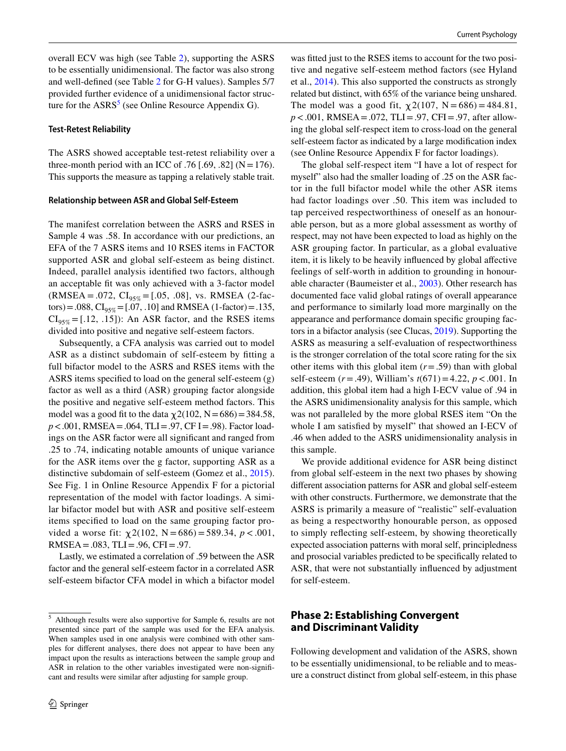overall ECV was high (see Table [2](#page-6-0)), supporting the ASRS to be essentially unidimensional. The factor was also strong and well-defned (see Table [2](#page-6-0) for G-H values). Samples 5/7 provided further evidence of a unidimensional factor structure for the  $ASS<sup>5</sup>$  $ASS<sup>5</sup>$  $ASS<sup>5</sup>$  (see Online Resource Appendix G).

#### **Test‑Retest Reliability**

The ASRS showed acceptable test-retest reliability over a three-month period with an ICC of .76 [.69, .82] ( $N = 176$ ). This supports the measure as tapping a relatively stable trait.

#### **Relationship between ASR and Global Self‑Esteem**

The manifest correlation between the ASRS and RSES in Sample 4 was .58. In accordance with our predictions, an EFA of the 7 ASRS items and 10 RSES items in FACTOR supported ASR and global self-esteem as being distinct. Indeed, parallel analysis identifed two factors, although an acceptable ft was only achieved with a 3-factor model  $(RMSEA = .072, CI<sub>95%</sub> = [.05, .08],$  vs. RMSEA (2-factors) = .088,  $CI_{95\%}$  = [.07, .10] and RMSEA (1-factor) = .135,  $CI<sub>95%</sub> = [.12, .15]$ : An ASR factor, and the RSES items divided into positive and negative self-esteem factors.

Subsequently, a CFA analysis was carried out to model ASR as a distinct subdomain of self-esteem by ftting a full bifactor model to the ASRS and RSES items with the ASRS items specifed to load on the general self-esteem (g) factor as well as a third (ASR) grouping factor alongside the positive and negative self-esteem method factors. This model was a good fit to the data  $\chi$ 2(102, N = 686) = 384.58, *p*<.001, RMSEA=.064, TLI=.97, CF I=.98). Factor loadings on the ASR factor were all signifcant and ranged from .25 to .74, indicating notable amounts of unique variance for the ASR items over the g factor, supporting ASR as a distinctive subdomain of self-esteem (Gomez et al., [2015](#page-16-22)). See Fig. 1 in Online Resource Appendix F for a pictorial representation of the model with factor loadings. A similar bifactor model but with ASR and positive self-esteem items specifed to load on the same grouping factor provided a worse fit:  $\chi$ 2(102, N = 686) = 589.34, p < .001, RMSEA =  $.083$ , TLI =  $.96$ , CFI =  $.97$ .

Lastly, we estimated a correlation of .59 between the ASR factor and the general self-esteem factor in a correlated ASR self-esteem bifactor CFA model in which a bifactor model

was ftted just to the RSES items to account for the two positive and negative self-esteem method factors (see Hyland et al., [2014](#page-16-23)). This also supported the constructs as strongly related but distinct, with 65% of the variance being unshared. The model was a good fit,  $\chi$  2(107, N = 686) = 484.81, *p*<.001, RMSEA=.072, TLI=.97, CFI=.97, after allowing the global self-respect item to cross-load on the general self-esteem factor as indicated by a large modifcation index (see Online Resource Appendix F for factor loadings).

The global self-respect item "I have a lot of respect for myself" also had the smaller loading of .25 on the ASR factor in the full bifactor model while the other ASR items had factor loadings over .50. This item was included to tap perceived respectworthiness of oneself as an honourable person, but as a more global assessment as worthy of respect, may not have been expected to load as highly on the ASR grouping factor. In particular, as a global evaluative item, it is likely to be heavily infuenced by global afective feelings of self-worth in addition to grounding in honourable character (Baumeister et al., [2003](#page-15-3)). Other research has documented face valid global ratings of overall appearance and performance to similarly load more marginally on the appearance and performance domain specifc grouping factors in a bifactor analysis (see Clucas, [2019](#page-15-1)). Supporting the ASRS as measuring a self-evaluation of respectworthiness is the stronger correlation of the total score rating for the six other items with this global item  $(r = .59)$  than with global self-esteem (*r*=.49), William's *t*(671)=4.22, *p*<.001. In addition, this global item had a high I-ECV value of .94 in the ASRS unidimensionality analysis for this sample, which was not paralleled by the more global RSES item "On the whole I am satisfed by myself" that showed an I-ECV of .46 when added to the ASRS unidimensionality analysis in this sample.

We provide additional evidence for ASR being distinct from global self-esteem in the next two phases by showing diferent association patterns for ASR and global self-esteem with other constructs. Furthermore, we demonstrate that the ASRS is primarily a measure of "realistic" self-evaluation as being a respectworthy honourable person, as opposed to simply refecting self-esteem, by showing theoretically expected association patterns with moral self, principledness and prosocial variables predicted to be specifcally related to ASR, that were not substantially infuenced by adjustment for self-esteem.

# **Phase 2: Establishing Convergent and Discriminant Validity**

Following development and validation of the ASRS, shown to be essentially unidimensional, to be reliable and to measure a construct distinct from global self-esteem, in this phase

<span id="page-7-0"></span><sup>5</sup> Although results were also supportive for Sample 6, results are not presented since part of the sample was used for the EFA analysis. When samples used in one analysis were combined with other samples for diferent analyses, there does not appear to have been any impact upon the results as interactions between the sample group and ASR in relation to the other variables investigated were non-signifcant and results were similar after adjusting for sample group.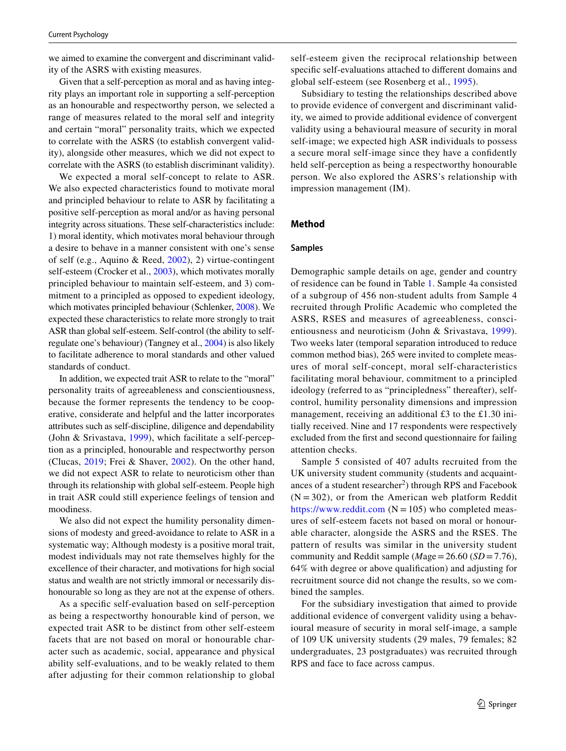we aimed to examine the convergent and discriminant validity of the ASRS with existing measures.

Given that a self-perception as moral and as having integrity plays an important role in supporting a self-perception as an honourable and respectworthy person, we selected a range of measures related to the moral self and integrity and certain "moral" personality traits, which we expected to correlate with the ASRS (to establish convergent validity), alongside other measures, which we did not expect to correlate with the ASRS (to establish discriminant validity).

We expected a moral self-concept to relate to ASR. We also expected characteristics found to motivate moral and principled behaviour to relate to ASR by facilitating a positive self-perception as moral and/or as having personal integrity across situations. These self-characteristics include: 1) moral identity, which motivates moral behaviour through a desire to behave in a manner consistent with one's sense of self (e.g., Aquino & Reed, [2002\)](#page-15-7), 2) virtue-contingent self-esteem (Crocker et al., [2003\)](#page-15-0), which motivates morally principled behaviour to maintain self-esteem, and 3) commitment to a principled as opposed to expedient ideology, which motivates principled behaviour (Schlenker, [2008](#page-16-11)). We expected these characteristics to relate more strongly to trait ASR than global self-esteem. Self-control (the ability to selfregulate one's behaviour) (Tangney et al., [2004\)](#page-16-24) is also likely to facilitate adherence to moral standards and other valued standards of conduct.

In addition, we expected trait ASR to relate to the "moral" personality traits of agreeableness and conscientiousness, because the former represents the tendency to be cooperative, considerate and helpful and the latter incorporates attributes such as self-discipline, diligence and dependability (John & Srivastava, [1999](#page-16-25)), which facilitate a self-perception as a principled, honourable and respectworthy person (Clucas, [2019](#page-15-1); Frei & Shaver, [2002\)](#page-16-3). On the other hand, we did not expect ASR to relate to neuroticism other than through its relationship with global self-esteem. People high in trait ASR could still experience feelings of tension and moodiness.

We also did not expect the humility personality dimensions of modesty and greed-avoidance to relate to ASR in a systematic way; Although modesty is a positive moral trait, modest individuals may not rate themselves highly for the excellence of their character, and motivations for high social status and wealth are not strictly immoral or necessarily dishonourable so long as they are not at the expense of others.

As a specifc self-evaluation based on self-perception as being a respectworthy honourable kind of person, we expected trait ASR to be distinct from other self-esteem facets that are not based on moral or honourable character such as academic, social, appearance and physical ability self-evaluations, and to be weakly related to them after adjusting for their common relationship to global self-esteem given the reciprocal relationship between specifc self-evaluations attached to diferent domains and global self-esteem (see Rosenberg et al., [1995](#page-16-5)).

Subsidiary to testing the relationships described above to provide evidence of convergent and discriminant validity, we aimed to provide additional evidence of convergent validity using a behavioural measure of security in moral self-image; we expected high ASR individuals to possess a secure moral self-image since they have a confdently held self-perception as being a respectworthy honourable person. We also explored the ASRS's relationship with impression management (IM).

## **Method**

#### **Samples**

Demographic sample details on age, gender and country of residence can be found in Table [1](#page-3-0). Sample 4a consisted of a subgroup of 456 non-student adults from Sample 4 recruited through Prolifc Academic who completed the ASRS, RSES and measures of agreeableness, conscientiousness and neuroticism (John & Srivastava, [1999](#page-16-25)). Two weeks later (temporal separation introduced to reduce common method bias), 265 were invited to complete measures of moral self-concept, moral self-characteristics facilitating moral behaviour, commitment to a principled ideology (referred to as "principledness" thereafter), selfcontrol, humility personality dimensions and impression management, receiving an additional £3 to the £1.30 initially received. Nine and 17 respondents were respectively excluded from the frst and second questionnaire for failing attention checks.

Sample 5 consisted of 407 adults recruited from the UK university student community (students and acquaintances of a student researcher<sup>2</sup>) through RPS and Facebook  $(N = 302)$ , or from the American web platform Reddit <https://www.reddit.com>( $N = 105$ ) who completed measures of self-esteem facets not based on moral or honourable character, alongside the ASRS and the RSES. The pattern of results was similar in the university student community and Reddit sample (*M*age=26.60 (*SD* =7.76), 64% with degree or above qualifcation) and adjusting for recruitment source did not change the results, so we combined the samples.

For the subsidiary investigation that aimed to provide additional evidence of convergent validity using a behavioural measure of security in moral self-image, a sample of 109 UK university students (29 males, 79 females; 82 undergraduates, 23 postgraduates) was recruited through RPS and face to face across campus.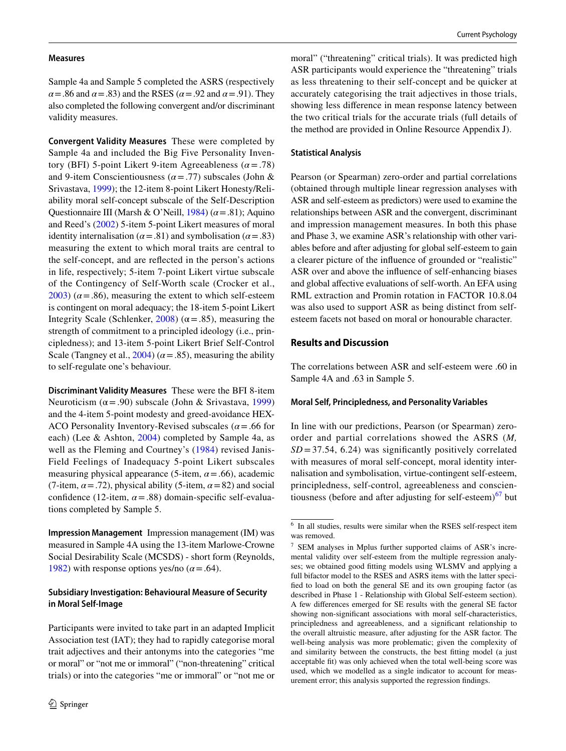#### **Measures**

Sample 4a and Sample 5 completed the ASRS (respectively  $\alpha$  = .86 and  $\alpha$  = .83) and the RSES ( $\alpha$  = .92 and  $\alpha$  = .91). They also completed the following convergent and/or discriminant validity measures.

**Convergent Validity Measures** These were completed by Sample 4a and included the Big Five Personality Inventory (BFI) 5-point Likert 9-item Agreeableness (*α*=.78) and 9-item Conscientiousness (*α*=.77) subscales (John & Srivastava, [1999\)](#page-16-25); the 12-item 8-point Likert Honesty/Reliability moral self-concept subscale of the Self-Description Questionnaire III (Marsh & O'Neill, [1984\)](#page-16-12) (*α*=.81); Aquino and Reed's [\(2002](#page-15-7)) 5-item 5-point Likert measures of moral identity internalisation ( $\alpha$  = .81) and symbolisation ( $\alpha$  = .83) measuring the extent to which moral traits are central to the self-concept, and are refected in the person's actions in life, respectively; 5-item 7-point Likert virtue subscale of the Contingency of Self-Worth scale (Crocker et al.,  $2003$ ) ( $\alpha$  = .86), measuring the extent to which self-esteem is contingent on moral adequacy; the 18-item 5-point Likert Integrity Scale (Schlenker, [2008](#page-16-11)) ( $\alpha$  = .85), measuring the strength of commitment to a principled ideology (i.e., principledness); and 13-item 5-point Likert Brief Self-Control Scale (Tangney et al.,  $2004$ ) ( $\alpha$  = .85), measuring the ability to self-regulate one's behaviour.

**Discriminant Validity Measures** These were the BFI 8-item Neuroticism ( $\alpha$  = .90) subscale (John & Srivastava, [1999\)](#page-16-25) and the 4-item 5-point modesty and greed-avoidance HEX-ACO Personality Inventory-Revised subscales (*α*=.66 for each) (Lee & Ashton, [2004](#page-16-26)) completed by Sample 4a, as well as the Fleming and Courtney's ([1984](#page-16-27)) revised Janis-Field Feelings of Inadequacy 5-point Likert subscales measuring physical appearance (5-item,  $\alpha$  = .66), academic (7-item,  $\alpha$  = .72), physical ability (5-item,  $\alpha$  = 82) and social confidence (12-item,  $\alpha$  = .88) domain-specific self-evaluations completed by Sample 5.

**Impression Management** Impression management (IM) was measured in Sample 4A using the 13-item Marlowe-Crowne Social Desirability Scale (MCSDS) - short form (Reynolds, [1982](#page-16-28)) with response options yes/no  $(\alpha = .64)$ .

## **Subsidiary Investigation: Behavioural Measure of Security in Moral Self‑Image**

Participants were invited to take part in an adapted Implicit Association test (IAT); they had to rapidly categorise moral trait adjectives and their antonyms into the categories "me or moral" or "not me or immoral" ("non-threatening" critical trials) or into the categories "me or immoral" or "not me or moral" ("threatening" critical trials). It was predicted high ASR participants would experience the "threatening" trials as less threatening to their self-concept and be quicker at accurately categorising the trait adjectives in those trials, showing less diference in mean response latency between the two critical trials for the accurate trials (full details of the method are provided in Online Resource Appendix J).

## **Statistical Analysis**

Pearson (or Spearman) zero-order and partial correlations (obtained through multiple linear regression analyses with ASR and self-esteem as predictors) were used to examine the relationships between ASR and the convergent, discriminant and impression management measures. In both this phase and Phase 3, we examine ASR's relationship with other variables before and after adjusting for global self-esteem to gain a clearer picture of the infuence of grounded or "realistic" ASR over and above the infuence of self-enhancing biases and global afective evaluations of self-worth. An EFA using RML extraction and Promin rotation in FACTOR 10.8.04 was also used to support ASR as being distinct from selfesteem facets not based on moral or honourable character.

## **Results and Discussion**

The correlations between ASR and self-esteem were .60 in Sample 4A and .63 in Sample 5.

#### **Moral Self, Principledness, and Personality Variables**

In line with our predictions, Pearson (or Spearman) zeroorder and partial correlations showed the ASRS (*M,*   $SD = 37.54$ , 6.24) was significantly positively correlated with measures of moral self-concept, moral identity internalisation and symbolisation, virtue-contingent self-esteem, principledness, self-control, agreeableness and conscientiousness (before and after adjusting for self-esteem) $<sup>67</sup>$  $<sup>67</sup>$  $<sup>67</sup>$  $<sup>67</sup>$  but</sup>

<span id="page-9-0"></span><sup>6</sup> In all studies, results were similar when the RSES self-respect item was removed.

<span id="page-9-1"></span><sup>7</sup> SEM analyses in Mplus further supported claims of ASR's incremental validity over self-esteem from the multiple regression analyses; we obtained good ftting models using WLSMV and applying a full bifactor model to the RSES and ASRS items with the latter specifed to load on both the general SE and its own grouping factor (as described in Phase 1 - Relationship with Global Self-esteem section). A few diferences emerged for SE results with the general SE factor showing non-signifcant associations with moral self-characteristics, principledness and agreeableness, and a signifcant relationship to the overall altruistic measure, after adjusting for the ASR factor. The well-being analysis was more problematic; given the complexity of and similarity between the constructs, the best ftting model (a just acceptable ft) was only achieved when the total well-being score was used, which we modelled as a single indicator to account for measurement error; this analysis supported the regression fndings.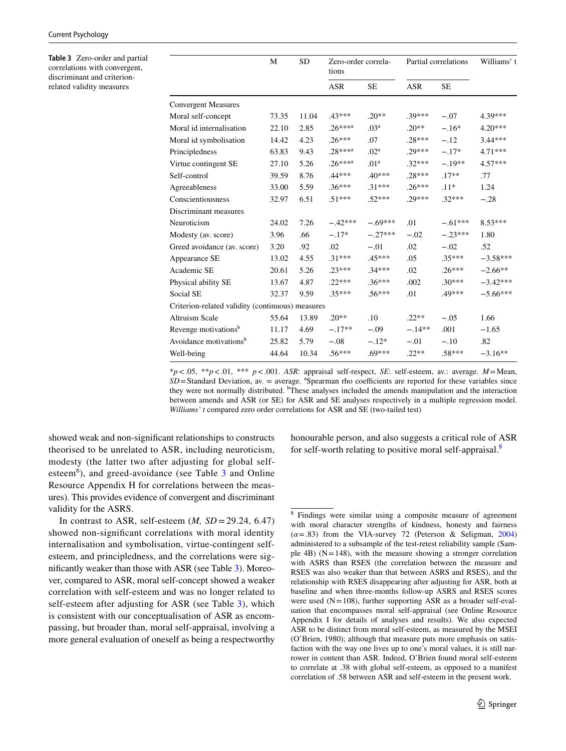<span id="page-10-0"></span>**Table 3** Zero-order and partial correlations with convergent, discriminant and criterionrelated validity measures

|                                                  | M     | <b>SD</b> | Zero-order correla-<br>tions |                  | Partial correlations |           | Williams' t |  |
|--------------------------------------------------|-------|-----------|------------------------------|------------------|----------------------|-----------|-------------|--|
|                                                  |       |           | <b>ASR</b>                   | <b>SE</b>        | <b>ASR</b>           | <b>SE</b> |             |  |
| <b>Convergent Measures</b>                       |       |           |                              |                  |                      |           |             |  |
| Moral self-concept                               | 73.35 | 11.04     | $.43***$                     | $.20**$          | $.39***$             | $-.07$    | 4.39***     |  |
| Moral id internalisation                         | 22.10 | 2.85      | $.26***a$                    | .03 <sup>a</sup> | $.20**$              | $-.16*$   | $4.20***$   |  |
| Moral id symbolisation                           | 14.42 | 4.23      | $.26***$                     | .07              | $.28***$             | $-.12$    | $3.44***$   |  |
| Principledness                                   | 63.83 | 9.43      | $.28***^{a}$                 | .02 <sup>a</sup> | $.29***$             | $-.17*$   | $4.71***$   |  |
| Virtue contingent SE                             | 27.10 | 5.26      | $.26***a$                    | .01 <sup>a</sup> | $.32***$             | $-.19**$  | $4.57***$   |  |
| Self-control                                     | 39.59 | 8.76      | $.44***$                     | $.40***$         | $.28***$             | $.17**$   | .77         |  |
| Agreeableness                                    | 33.00 | 5.59      | $.36***$                     | $.31***$         | $.26***$             | $.11*$    | 1.24        |  |
| Conscientiousness                                | 32.97 | 6.51      | $.51***$                     | $.52***$         | 29***                | $.32***$  | $-.28$      |  |
| Discriminant measures                            |       |           |                              |                  |                      |           |             |  |
| Neuroticism                                      | 24.02 | 7.26      | $-.42***$                    | $-.69***$        | .01                  | $-.61***$ | $8.53***$   |  |
| Modesty (av. score)                              | 3.96  | .66       | $-.17*$                      | $-.27***$        | $-.02$               | $-.23***$ | 1.80        |  |
| Greed avoidance (av. score)                      | 3.20  | .92       | .02                          | $-.01$           | .02                  | $-.02$    | .52         |  |
| Appearance SE                                    | 13.02 | 4.55      | $.31***$                     | $.45***$         | .05                  | $.35***$  | $-3.58***$  |  |
| Academic SE                                      | 20.61 | 5.26      | $.23***$                     | $.34***$         | .02                  | $.26***$  | $-2.66**$   |  |
| Physical ability SE                              | 13.67 | 4.87      | $.22***$                     | $.36***$         | .002                 | $.30***$  | $-3.42***$  |  |
| Social SE                                        | 32.37 | 9.59      | 35***                        | $.56***$         | .01                  | .49***    | $-5.66***$  |  |
| Criterion-related validity (continuous) measures |       |           |                              |                  |                      |           |             |  |
| <b>Altruism Scale</b>                            | 55.64 | 13.89     | $.20**$                      | .10              | $.22**$              | $-.05$    | 1.66        |  |
| Revenge motivations <sup>b</sup>                 | 11.17 | 4.69      | $-.17**$                     | $-.09$           | $-.14**$             | .001      | $-1.65$     |  |
| Avoidance motivations <sup>b</sup>               | 25.82 | 5.79      | $-.08$                       | $-.12*$          | $-.01$               | $-.10$    | .82         |  |
| Well-being                                       | 44.64 | 10.34     | $.56***$                     | $.69***$         | $.22**$              | $.58***$  | $-3.16**$   |  |

\**p*<.05, \*\**p*<.01, \*\*\* *p*<.001. *ASR*: appraisal self-respect, *SE*: self-esteem, av.: average. *M*=Mean,  $SD =$ Standard Deviation, av. = average. <sup>a</sup>Spearman rho coefficients are reported for these variables since they were not normally distributed. <sup>b</sup>These analyses included the amends manipulation and the interaction between amends and ASR (or SE) for ASR and SE analyses respectively in a multiple regression model. *Williams' t* compared zero order correlations for ASR and SE (two-tailed test)

showed weak and non-signifcant relationships to constructs theorised to be unrelated to ASR, including neuroticism, modesty (the latter two after adjusting for global selfesteem<sup>6</sup>), and greed-avoidance (see Table  $3$  and Online Resource Appendix H for correlations between the measures). This provides evidence of convergent and discriminant validity for the ASRS.

In contrast to ASR, self-esteem  $(M, SD = 29.24, 6.47)$ showed non-signifcant correlations with moral identity internalisation and symbolisation, virtue-contingent selfesteem, and principledness, and the correlations were signifcantly weaker than those with ASR (see Table [3\)](#page-10-0). Moreover, compared to ASR, moral self-concept showed a weaker correlation with self-esteem and was no longer related to self-esteem after adjusting for ASR (see Table [3\)](#page-10-0), which is consistent with our conceptualisation of ASR as encompassing, but broader than, moral self-appraisal, involving a more general evaluation of oneself as being a respectworthy honourable person, and also suggests a critical role of ASR for self-worth relating to positive moral self-appraisal.[8](#page-10-1)

<span id="page-10-1"></span><sup>8</sup> Findings were similar using a composite measure of agreement with moral character strengths of kindness, honesty and fairness  $(\alpha = .83)$  from the VIA-survey 72 (Peterson & Seligman, [2004](#page-16-8)) administered to a subsample of the test-retest reliability sample (Sample 4B)  $(N=148)$ , with the measure showing a stronger correlation with ASRS than RSES (the correlation between the measure and RSES was also weaker than that between ASRS and RSES), and the relationship with RSES disappearing after adjusting for ASR, both at baseline and when three-months follow-up ASRS and RSES scores were used  $(N=108)$ , further supporting ASR as a broader self-evaluation that encompasses moral self-appraisal (see Online Resource Appendix I for details of analyses and results). We also expected ASR to be distinct from moral self-esteem, as measured by the MSEI (O'Brien, 1980); although that measure puts more emphasis on satisfaction with the way one lives up to one's moral values, it is still narrower in content than ASR. Indeed, O'Brien found moral self-esteem to correlate at .38 with global self-esteem, as opposed to a manifest correlation of .58 between ASR and self-esteem in the present work.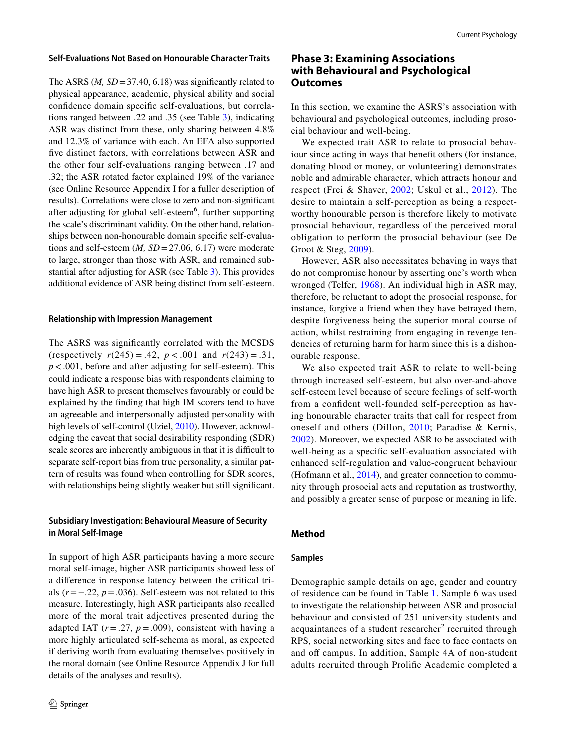#### **Self‑Evaluations Not Based on Honourable Character Traits**

The ASRS  $(M, SD = 37.40, 6.18)$  was significantly related to physical appearance, academic, physical ability and social confdence domain specifc self-evaluations, but correlations ranged between .22 and .35 (see Table [3](#page-10-0)), indicating ASR was distinct from these, only sharing between 4.8% and 12.3% of variance with each. An EFA also supported fve distinct factors, with correlations between ASR and the other four self-evaluations ranging between .17 and .32; the ASR rotated factor explained 19% of the variance (see Online Resource Appendix I for a fuller description of results). Correlations were close to zero and non-signifcant after adjusting for global self-esteem<sup>6</sup>, further supporting the scale's discriminant validity. On the other hand, relationships between non-honourable domain specifc self-evaluations and self-esteem (*M, SD*=27.06, 6.17) were moderate to large, stronger than those with ASR, and remained substantial after adjusting for ASR (see Table [3](#page-10-0)). This provides additional evidence of ASR being distinct from self-esteem.

#### **Relationship with Impression Management**

The ASRS was signifcantly correlated with the MCSDS (respectively  $r(245) = .42$ ,  $p < .001$  and  $r(243) = .31$ , *p*<.001, before and after adjusting for self-esteem). This could indicate a response bias with respondents claiming to have high ASR to present themselves favourably or could be explained by the fnding that high IM scorers tend to have an agreeable and interpersonally adjusted personality with high levels of self-control (Uziel, [2010](#page-17-2)). However, acknowledging the caveat that social desirability responding (SDR) scale scores are inherently ambiguous in that it is difficult to separate self-report bias from true personality, a similar pattern of results was found when controlling for SDR scores, with relationships being slightly weaker but still signifcant.

## **Subsidiary Investigation: Behavioural Measure of Security in Moral Self‑Image**

In support of high ASR participants having a more secure moral self-image, higher ASR participants showed less of a diference in response latency between the critical trials (*r*=−.22, *p*=.036). Self-esteem was not related to this measure. Interestingly, high ASR participants also recalled more of the moral trait adjectives presented during the adapted IAT  $(r=.27, p=.009)$ , consistent with having a more highly articulated self-schema as moral, as expected if deriving worth from evaluating themselves positively in the moral domain (see Online Resource Appendix J for full details of the analyses and results).

# **Phase 3: Examining Associations with Behavioural and Psychological Outcomes**

In this section, we examine the ASRS's association with behavioural and psychological outcomes, including prosocial behaviour and well-being.

We expected trait ASR to relate to prosocial behaviour since acting in ways that beneft others (for instance, donating blood or money, or volunteering) demonstrates noble and admirable character, which attracts honour and respect (Frei & Shaver, [2002;](#page-16-3) Uskul et al., [2012](#page-17-0)). The desire to maintain a self-perception as being a respectworthy honourable person is therefore likely to motivate prosocial behaviour, regardless of the perceived moral obligation to perform the prosocial behaviour (see De Groot & Steg, [2009\)](#page-16-14).

However, ASR also necessitates behaving in ways that do not compromise honour by asserting one's worth when wronged (Telfer, [1968\)](#page-17-1). An individual high in ASR may, therefore, be reluctant to adopt the prosocial response, for instance, forgive a friend when they have betrayed them, despite forgiveness being the superior moral course of action, whilst restraining from engaging in revenge tendencies of returning harm for harm since this is a dishonourable response.

We also expected trait ASR to relate to well-being through increased self-esteem, but also over-and-above self-esteem level because of secure feelings of self-worth from a confdent well-founded self-perception as having honourable character traits that call for respect from oneself and others (Dillon, [2010](#page-16-1); Paradise & Kernis, [2002\)](#page-16-16). Moreover, we expected ASR to be associated with well-being as a specifc self-evaluation associated with enhanced self-regulation and value-congruent behaviour (Hofmann et al., [2014\)](#page-16-29), and greater connection to community through prosocial acts and reputation as trustworthy, and possibly a greater sense of purpose or meaning in life.

## **Method**

## **Samples**

Demographic sample details on age, gender and country of residence can be found in Table [1](#page-3-0). Sample 6 was used to investigate the relationship between ASR and prosocial behaviour and consisted of 251 university students and acquaintances of a student researcher<sup>2</sup> recruited through RPS, social networking sites and face to face contacts on and off campus. In addition, Sample 4A of non-student adults recruited through Prolifc Academic completed a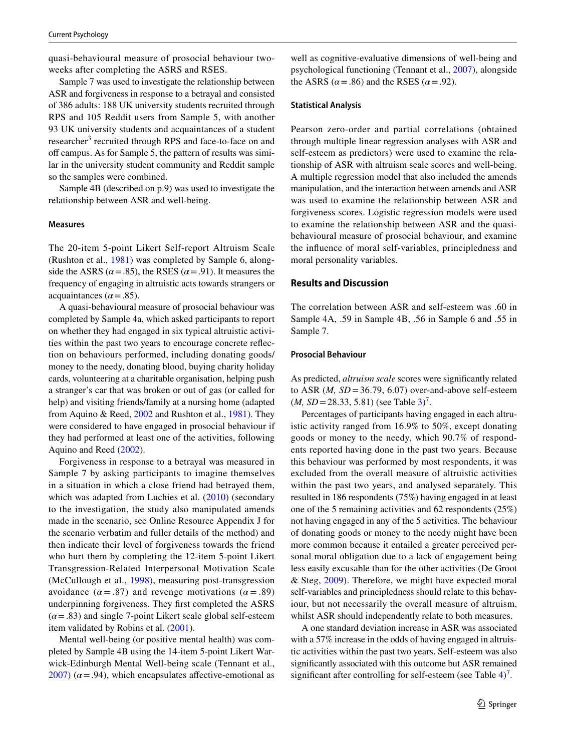quasi-behavioural measure of prosocial behaviour twoweeks after completing the ASRS and RSES.

Sample 7 was used to investigate the relationship between ASR and forgiveness in response to a betrayal and consisted of 386 adults: 188 UK university students recruited through RPS and 105 Reddit users from Sample 5, with another 93 UK university students and acquaintances of a student researcher<sup>3</sup> recruited through RPS and face-to-face on and off campus. As for Sample 5, the pattern of results was similar in the university student community and Reddit sample so the samples were combined.

Sample 4B (described on p.9) was used to investigate the relationship between ASR and well-being.

#### **Measures**

The 20-item 5-point Likert Self-report Altruism Scale (Rushton et al., [1981\)](#page-16-30) was completed by Sample 6, alongside the ASRS ( $\alpha$  = .85), the RSES ( $\alpha$  = .91). It measures the frequency of engaging in altruistic acts towards strangers or acquaintances ( $\alpha$  = .85).

A quasi-behavioural measure of prosocial behaviour was completed by Sample 4a, which asked participants to report on whether they had engaged in six typical altruistic activities within the past two years to encourage concrete refection on behaviours performed, including donating goods/ money to the needy, donating blood, buying charity holiday cards, volunteering at a charitable organisation, helping push a stranger's car that was broken or out of gas (or called for help) and visiting friends/family at a nursing home (adapted from Aquino & Reed, [2002](#page-15-7) and Rushton et al., [1981](#page-16-30)). They were considered to have engaged in prosocial behaviour if they had performed at least one of the activities, following Aquino and Reed ([2002](#page-15-7)).

Forgiveness in response to a betrayal was measured in Sample 7 by asking participants to imagine themselves in a situation in which a close friend had betrayed them, which was adapted from Luchies et al.  $(2010)$  $(2010)$  (secondary to the investigation, the study also manipulated amends made in the scenario, see Online Resource Appendix J for the scenario verbatim and fuller details of the method) and then indicate their level of forgiveness towards the friend who hurt them by completing the 12-item 5-point Likert Transgression-Related Interpersonal Motivation Scale (McCullough et al., [1998](#page-16-31)), measuring post-transgression avoidance  $(\alpha = .87)$  and revenge motivations  $(\alpha = .89)$ underpinning forgiveness. They frst completed the ASRS  $(\alpha = .83)$  and single 7-point Likert scale global self-esteem item validated by Robins et al. [\(2001](#page-16-32)).

Mental well-being (or positive mental health) was completed by Sample 4B using the 14-item 5-point Likert Warwick-Edinburgh Mental Well-being scale (Tennant et al.,  $2007$ ) ( $\alpha$  = .94), which encapsulates affective-emotional as

well as cognitive-evaluative dimensions of well-being and psychological functioning (Tennant et al., [2007](#page-17-3)), alongside the ASRS ( $\alpha$  = .86) and the RSES ( $\alpha$  = .92).

#### **Statistical Analysis**

Pearson zero-order and partial correlations (obtained through multiple linear regression analyses with ASR and self-esteem as predictors) were used to examine the relationship of ASR with altruism scale scores and well-being. A multiple regression model that also included the amends manipulation, and the interaction between amends and ASR was used to examine the relationship between ASR and forgiveness scores. Logistic regression models were used to examine the relationship between ASR and the quasibehavioural measure of prosocial behaviour, and examine the infuence of moral self-variables, principledness and moral personality variables.

## **Results and Discussion**

The correlation between ASR and self-esteem was .60 in Sample 4A, .59 in Sample 4B, .56 in Sample 6 and .55 in Sample 7.

#### **Prosocial Behaviour**

As predicted, *altruism scale* scores were signifcantly related to ASR  $(M, SD = 36.79, 6.07)$  over-and-above self-esteem  $(M, SD = 28.33, 5.81)$  (see Table [3\)](#page-10-0)<sup>7</sup>.

Percentages of participants having engaged in each altruistic activity ranged from 16.9% to 50%, except donating goods or money to the needy, which 90.7% of respondents reported having done in the past two years. Because this behaviour was performed by most respondents, it was excluded from the overall measure of altruistic activities within the past two years, and analysed separately. This resulted in 186 respondents (75%) having engaged in at least one of the 5 remaining activities and 62 respondents (25%) not having engaged in any of the 5 activities. The behaviour of donating goods or money to the needy might have been more common because it entailed a greater perceived personal moral obligation due to a lack of engagement being less easily excusable than for the other activities (De Groot & Steg, [2009\)](#page-16-14). Therefore, we might have expected moral self-variables and principledness should relate to this behaviour, but not necessarily the overall measure of altruism, whilst ASR should independently relate to both measures.

A one standard deviation increase in ASR was associated with a 57% increase in the odds of having engaged in altruistic activities within the past two years. Self-esteem was also signifcantly associated with this outcome but ASR remained significant after controlling for self-esteem (see Table  $4$ )<sup>7</sup>.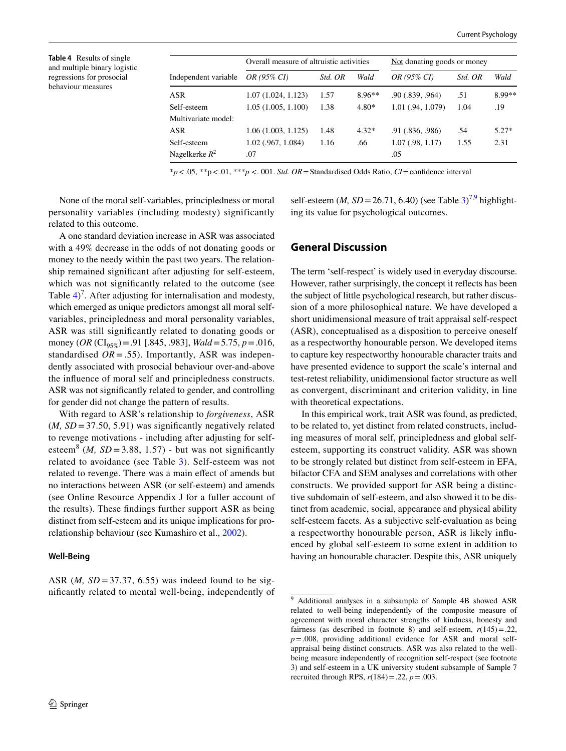<span id="page-13-0"></span>**Table 4** Results of single and multiple binary logistic regressions for prosocial behaviour measures

|                      | Overall measure of altruistic activities |         |          | Not donating goods or money |         |         |  |
|----------------------|------------------------------------------|---------|----------|-----------------------------|---------|---------|--|
| Independent variable | <i>OR</i> (95% <i>CI</i> )               | Std. OR | Wald     | OR (95% CI)                 | Std. OR | Wald    |  |
| ASR                  | 1.07(1.024, 1.123)                       | 1.57    | $8.96**$ | .90(.839, .964)             | .51     | 8.99**  |  |
| Self-esteem          | 1.05(1.005, 1.100)                       | 1.38    | $4.80*$  | 1.01 (.94, 1.079)           | 1.04    | .19     |  |
| Multivariate model:  |                                          |         |          |                             |         |         |  |
| ASR                  | 1.06(1.003, 1.125)                       | 1.48    | $4.32*$  | .91(.836, .986)             | .54     | $5.27*$ |  |
| Self-esteem          | $1.02$ (.967, 1.084)                     | 1.16    | .66      | $1.07$ (.98, 1.17)          | 1.55    | 2.31    |  |
| Nagelkerke $R^2$     | .07                                      |         |          | .05                         |         |         |  |

\**p*<.05, \*\*p<.01, \*\*\**p* <. 001. *Std. OR*=Standardised Odds Ratio, *CI*=confdence interval

None of the moral self-variables, principledness or moral personality variables (including modesty) significantly related to this outcome.

A one standard deviation increase in ASR was associated with a 49% decrease in the odds of not donating goods or money to the needy within the past two years. The relationship remained signifcant after adjusting for self-esteem, which was not signifcantly related to the outcome (see Table  $4$ <sup> $\degree$ </sup>. After adjusting for internalisation and modesty, which emerged as unique predictors amongst all moral selfvariables, principledness and moral personality variables, ASR was still signifcantly related to donating goods or money (*OR* ( $CI_{95\%}$ ) = .91 [.845, .983], *Wald* = 5.75, *p* = .016, standardised  $OR = .55$ ). Importantly, ASR was independently associated with prosocial behaviour over-and-above the infuence of moral self and principledness constructs. ASR was not signifcantly related to gender, and controlling for gender did not change the pattern of results.

With regard to ASR's relationship to *forgiveness*, ASR  $(M, SD = 37.50, 5.91)$  was significantly negatively related to revenge motivations - including after adjusting for selfesteem<sup>8</sup> (*M*, *SD* = 3.88, 1.57) - but was not significantly related to avoidance (see Table [3](#page-10-0)). Self-esteem was not related to revenge. There was a main efect of amends but no interactions between ASR (or self-esteem) and amends (see Online Resource Appendix J for a fuller account of the results). These fndings further support ASR as being distinct from self-esteem and its unique implications for prorelationship behaviour (see Kumashiro et al., [2002](#page-16-2)).

## **Well‑Being**

ASR  $(M, SD = 37.37, 6.55)$  was indeed found to be signifcantly related to mental well-being, independently of

self-esteem (*M*,  $SD = 26.71$ , 6.40) (see Table [3](#page-10-0))<sup>7,[9](#page-13-1)</sup> highlighting its value for psychological outcomes.

## **General Discussion**

The term 'self-respect' is widely used in everyday discourse. However, rather surprisingly, the concept it refects has been the subject of little psychological research, but rather discussion of a more philosophical nature. We have developed a short unidimensional measure of trait appraisal self-respect (ASR), conceptualised as a disposition to perceive oneself as a respectworthy honourable person. We developed items to capture key respectworthy honourable character traits and have presented evidence to support the scale's internal and test-retest reliability, unidimensional factor structure as well as convergent, discriminant and criterion validity, in line with theoretical expectations.

In this empirical work, trait ASR was found, as predicted, to be related to, yet distinct from related constructs, including measures of moral self, principledness and global selfesteem, supporting its construct validity. ASR was shown to be strongly related but distinct from self-esteem in EFA, bifactor CFA and SEM analyses and correlations with other constructs. We provided support for ASR being a distinctive subdomain of self-esteem, and also showed it to be distinct from academic, social, appearance and physical ability self-esteem facets. As a subjective self-evaluation as being a respectworthy honourable person, ASR is likely infuenced by global self-esteem to some extent in addition to having an honourable character. Despite this, ASR uniquely

<span id="page-13-1"></span><sup>9</sup> Additional analyses in a subsample of Sample 4B showed ASR related to well-being independently of the composite measure of agreement with moral character strengths of kindness, honesty and fairness (as described in footnote 8) and self-esteem,  $r(145) = .22$ , *p*=.008, providing additional evidence for ASR and moral selfappraisal being distinct constructs. ASR was also related to the wellbeing measure independently of recognition self-respect (see footnote 3) and self-esteem in a UK university student subsample of Sample 7 recruited through RPS, *r*(184)=.22, *p*=.003.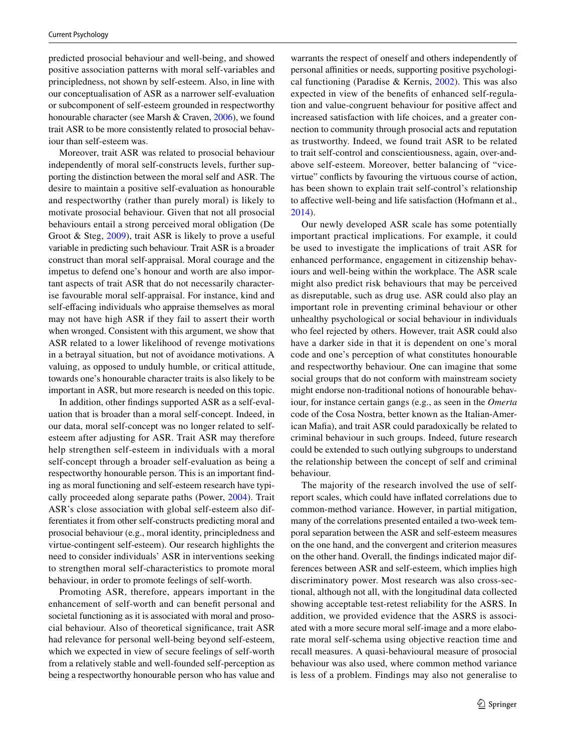predicted prosocial behaviour and well-being, and showed positive association patterns with moral self-variables and principledness, not shown by self-esteem. Also, in line with our conceptualisation of ASR as a narrower self-evaluation or subcomponent of self-esteem grounded in respectworthy honourable character (see Marsh & Craven, [2006\)](#page-16-17), we found trait ASR to be more consistently related to prosocial behaviour than self-esteem was.

Moreover, trait ASR was related to prosocial behaviour independently of moral self-constructs levels, further supporting the distinction between the moral self and ASR. The desire to maintain a positive self-evaluation as honourable and respectworthy (rather than purely moral) is likely to motivate prosocial behaviour. Given that not all prosocial behaviours entail a strong perceived moral obligation (De Groot & Steg, [2009\)](#page-16-14), trait ASR is likely to prove a useful variable in predicting such behaviour. Trait ASR is a broader construct than moral self-appraisal. Moral courage and the impetus to defend one's honour and worth are also important aspects of trait ASR that do not necessarily characterise favourable moral self-appraisal. For instance, kind and self-efacing individuals who appraise themselves as moral may not have high ASR if they fail to assert their worth when wronged. Consistent with this argument, we show that ASR related to a lower likelihood of revenge motivations in a betrayal situation, but not of avoidance motivations. A valuing, as opposed to unduly humble, or critical attitude, towards one's honourable character traits is also likely to be important in ASR, but more research is needed on this topic.

In addition, other fndings supported ASR as a self-evaluation that is broader than a moral self-concept. Indeed, in our data, moral self-concept was no longer related to selfesteem after adjusting for ASR. Trait ASR may therefore help strengthen self-esteem in individuals with a moral self-concept through a broader self-evaluation as being a respectworthy honourable person. This is an important fnding as moral functioning and self-esteem research have typically proceeded along separate paths (Power, [2004\)](#page-16-15). Trait ASR's close association with global self-esteem also differentiates it from other self-constructs predicting moral and prosocial behaviour (e.g., moral identity, principledness and virtue-contingent self-esteem). Our research highlights the need to consider individuals' ASR in interventions seeking to strengthen moral self-characteristics to promote moral behaviour, in order to promote feelings of self-worth.

Promoting ASR, therefore, appears important in the enhancement of self-worth and can beneft personal and societal functioning as it is associated with moral and prosocial behaviour. Also of theoretical signifcance, trait ASR had relevance for personal well-being beyond self-esteem, which we expected in view of secure feelings of self-worth from a relatively stable and well-founded self-perception as being a respectworthy honourable person who has value and warrants the respect of oneself and others independently of personal afnities or needs, supporting positive psychological functioning (Paradise & Kernis,  $2002$ ). This was also expected in view of the benefts of enhanced self-regulation and value-congruent behaviour for positive afect and increased satisfaction with life choices, and a greater connection to community through prosocial acts and reputation as trustworthy. Indeed, we found trait ASR to be related to trait self-control and conscientiousness, again, over-andabove self-esteem. Moreover, better balancing of "vicevirtue" conficts by favouring the virtuous course of action, has been shown to explain trait self-control's relationship to affective well-being and life satisfaction (Hofmann et al., [2014](#page-16-29)).

Our newly developed ASR scale has some potentially important practical implications. For example, it could be used to investigate the implications of trait ASR for enhanced performance, engagement in citizenship behaviours and well-being within the workplace. The ASR scale might also predict risk behaviours that may be perceived as disreputable, such as drug use. ASR could also play an important role in preventing criminal behaviour or other unhealthy psychological or social behaviour in individuals who feel rejected by others. However, trait ASR could also have a darker side in that it is dependent on one's moral code and one's perception of what constitutes honourable and respectworthy behaviour. One can imagine that some social groups that do not conform with mainstream society might endorse non-traditional notions of honourable behaviour, for instance certain gangs (e.g., as seen in the *Omerta* code of the Cosa Nostra, better known as the Italian-American Mafa), and trait ASR could paradoxically be related to criminal behaviour in such groups. Indeed, future research could be extended to such outlying subgroups to understand the relationship between the concept of self and criminal behaviour.

The majority of the research involved the use of selfreport scales, which could have infated correlations due to common-method variance. However, in partial mitigation, many of the correlations presented entailed a two-week temporal separation between the ASR and self-esteem measures on the one hand, and the convergent and criterion measures on the other hand. Overall, the fndings indicated major differences between ASR and self-esteem, which implies high discriminatory power. Most research was also cross-sectional, although not all, with the longitudinal data collected showing acceptable test-retest reliability for the ASRS. In addition, we provided evidence that the ASRS is associated with a more secure moral self-image and a more elaborate moral self-schema using objective reaction time and recall measures. A quasi-behavioural measure of prosocial behaviour was also used, where common method variance is less of a problem. Findings may also not generalise to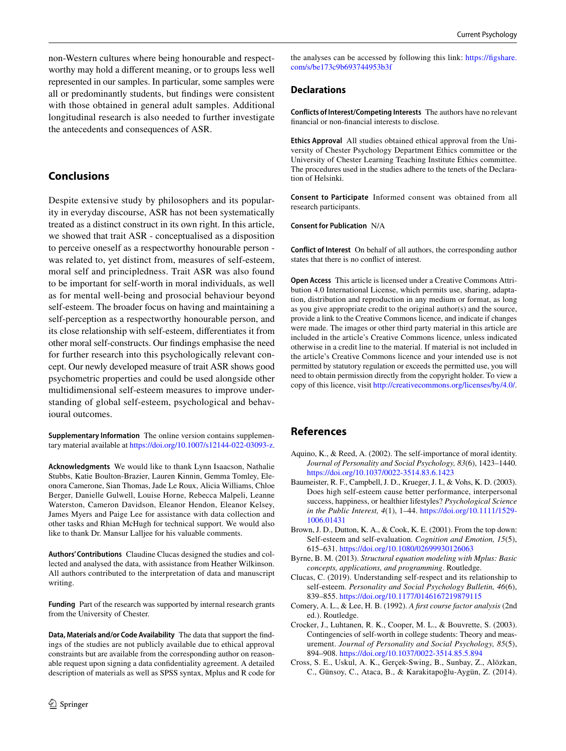non-Western cultures where being honourable and respectworthy may hold a diferent meaning, or to groups less well represented in our samples. In particular, some samples were all or predominantly students, but fndings were consistent with those obtained in general adult samples. Additional longitudinal research is also needed to further investigate the antecedents and consequences of ASR.

# **Conclusions**

Despite extensive study by philosophers and its popularity in everyday discourse, ASR has not been systematically treated as a distinct construct in its own right. In this article, we showed that trait ASR - conceptualised as a disposition to perceive oneself as a respectworthy honourable person was related to, yet distinct from, measures of self-esteem, moral self and principledness. Trait ASR was also found to be important for self-worth in moral individuals, as well as for mental well-being and prosocial behaviour beyond self-esteem. The broader focus on having and maintaining a self-perception as a respectworthy honourable person, and its close relationship with self-esteem, diferentiates it from other moral self-constructs. Our fndings emphasise the need for further research into this psychologically relevant concept. Our newly developed measure of trait ASR shows good psychometric properties and could be used alongside other multidimensional self-esteem measures to improve understanding of global self-esteem, psychological and behavioural outcomes.

**Supplementary Information** The online version contains supplementary material available at<https://doi.org/10.1007/s12144-022-03093-z>.

**Acknowledgments** We would like to thank Lynn Isaacson, Nathalie Stubbs, Katie Boulton-Brazier, Lauren Kinnin, Gemma Tomley, Eleonora Camerone, Sian Thomas, Jade Le Roux, Alicia Williams, Chloe Berger, Danielle Gulwell, Louise Horne, Rebecca Malpeli, Leanne Waterston, Cameron Davidson, Eleanor Hendon, Eleanor Kelsey, James Myers and Paige Lee for assistance with data collection and other tasks and Rhian McHugh for technical support. We would also like to thank Dr. Mansur Lalljee for his valuable comments.

**Authors' Contributions** Claudine Clucas designed the studies and collected and analysed the data, with assistance from Heather Wilkinson. All authors contributed to the interpretation of data and manuscript writing.

**Funding** Part of the research was supported by internal research grants from the University of Chester.

**Data, Materials and/or Code Availability** The data that support the fndings of the studies are not publicly available due to ethical approval constraints but are available from the corresponding author on reasonable request upon signing a data confdentiality agreement. A detailed description of materials as well as SPSS syntax, Mplus and R code for

the analyses can be accessed by following this link: [https://fgshare.](https://figshare.com/s/be173c9b693744953b3f) [com/s/be173c9b693744953b3f](https://figshare.com/s/be173c9b693744953b3f)

## **Declarations**

**Conflicts of Interest/Competing Interests** The authors have no relevant fnancial or non-fnancial interests to disclose.

**Ethics Approval** All studies obtained ethical approval from the University of Chester Psychology Department Ethics committee or the University of Chester Learning Teaching Institute Ethics committee. The procedures used in the studies adhere to the tenets of the Declaration of Helsinki.

**Consent to Participate** Informed consent was obtained from all research participants.

**Consent for Publication** N/A

**Conflict of Interest** On behalf of all authors, the corresponding author states that there is no confict of interest.

**Open Access** This article is licensed under a Creative Commons Attribution 4.0 International License, which permits use, sharing, adaptation, distribution and reproduction in any medium or format, as long as you give appropriate credit to the original author(s) and the source, provide a link to the Creative Commons licence, and indicate if changes were made. The images or other third party material in this article are included in the article's Creative Commons licence, unless indicated otherwise in a credit line to the material. If material is not included in the article's Creative Commons licence and your intended use is not permitted by statutory regulation or exceeds the permitted use, you will need to obtain permission directly from the copyright holder. To view a copy of this licence, visit<http://creativecommons.org/licenses/by/4.0/>.

# **References**

- <span id="page-15-7"></span>Aquino, K., & Reed, A. (2002). The self-importance of moral identity. *Journal of Personality and Social Psychology, 83*(6), 1423–1440. <https://doi.org/10.1037/0022-3514.83.6.1423>
- <span id="page-15-3"></span>Baumeister, R. F., Campbell, J. D., Krueger, J. I., & Vohs, K. D. (2003). Does high self-esteem cause better performance, interpersonal success, happiness, or healthier lifestyles? *Psychological Science in the Public Interest, 4*(1), 1–44. [https://doi.org/10.1111/1529-](https://doi.org/10.1111/1529-1006.01431) [1006.01431](https://doi.org/10.1111/1529-1006.01431)
- <span id="page-15-4"></span>Brown, J. D., Dutton, K. A., & Cook, K. E. (2001). From the top down: Self-esteem and self-evaluation. *Cognition and Emotion, 15*(5), 615–631.<https://doi.org/10.1080/02699930126063>
- <span id="page-15-5"></span>Byrne, B. M. (2013). *Structural equation modeling with Mplus: Basic concepts, applications, and programming*. Routledge.
- <span id="page-15-1"></span>Clucas, C. (2019). Understanding self-respect and its relationship to self-esteem. *Personality and Social Psychology Bulletin, 46*(6), 839–855.<https://doi.org/10.1177/0146167219879115>
- <span id="page-15-6"></span>Comery, A. L., & Lee, H. B. (1992). *A frst course factor analysis* (2nd ed.). Routledge.
- <span id="page-15-0"></span>Crocker, J., Luhtanen, R. K., Cooper, M. L., & Bouvrette, S. (2003). Contingencies of self-worth in college students: Theory and measurement. *Journal of Personality and Social Psychology, 85*(5), 894–908.<https://doi.org/10.1037/0022-3514.85.5.894>
- <span id="page-15-2"></span>Cross, S. E., Uskul, A. K., Gerçek-Swing, B., Sunbay, Z., Alözkan, C., Günsoy, C., Ataca, B., & Karakitapoğlu-Aygün, Z. (2014).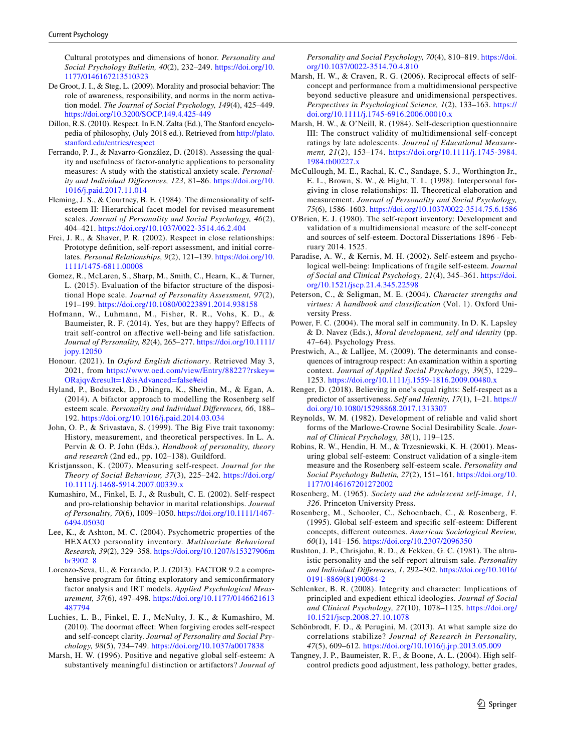Cultural prototypes and dimensions of honor. *Personality and Social Psychology Bulletin, 40*(2), 232–249. [https://doi.org/10.](https://doi.org/10.1177/0146167213510323) [1177/0146167213510323](https://doi.org/10.1177/0146167213510323)

- <span id="page-16-14"></span>De Groot, J. I., & Steg, L. (2009). Morality and prosocial behavior: The role of awareness, responsibility, and norms in the norm activation model. *The Journal of Social Psychology, 149*(4), 425–449. <https://doi.org/10.3200/SOCP.149.4.425-449>
- <span id="page-16-1"></span>Dillon, R.S. (2010). Respect. In E.N. Zalta (Ed.), The Stanford encyclopedia of philosophy, (July 2018 ed.). Retrieved from [http://plato.](http://plato.stanford.edu/entries/respect) [stanford.edu/entries/respect](http://plato.stanford.edu/entries/respect)
- <span id="page-16-21"></span>Ferrando, P. J., & Navarro-González, D. (2018). Assessing the quality and usefulness of factor-analytic applications to personality measures: A study with the statistical anxiety scale. *Personality and Individual Diferences, 123*, 81–86. [https://doi.org/10.](https://doi.org/10.1016/j.paid.2017.11.014) [1016/j.paid.2017.11.014](https://doi.org/10.1016/j.paid.2017.11.014)
- <span id="page-16-27"></span>Fleming, J. S., & Courtney, B. E. (1984). The dimensionality of selfesteem II: Hierarchical facet model for revised measurement scales. *Journal of Personality and Social Psychology, 46*(2), 404–421.<https://doi.org/10.1037/0022-3514.46.2.404>
- <span id="page-16-3"></span>Frei, J. R., & Shaver, P. R. (2002). Respect in close relationships: Prototype defnition, self-report assessment, and initial correlates. *Personal Relationships, 9*(2), 121–139. [https://doi.org/10.](https://doi.org/10.1111/1475-6811.00008) [1111/1475-6811.00008](https://doi.org/10.1111/1475-6811.00008)
- <span id="page-16-22"></span>Gomez, R., McLaren, S., Sharp, M., Smith, C., Hearn, K., & Turner, L. (2015). Evaluation of the bifactor structure of the dispositional Hope scale. *Journal of Personality Assessment, 97*(2), 191–199.<https://doi.org/10.1080/00223891.2014.938158>
- <span id="page-16-29"></span>Hofmann, W., Luhmann, M., Fisher, R. R., Vohs, K. D., & Baumeister, R. F. (2014). Yes, but are they happy? Efects of trait self-control on afective well-being and life satisfaction. *Journal of Personality, 82*(4), 265–277. [https://doi.org/10.1111/](https://doi.org/10.1111/jopy.12050) [jopy.12050](https://doi.org/10.1111/jopy.12050)
- <span id="page-16-10"></span>Honour. (2021). In *Oxford English dictionary*. Retrieved May 3, 2021, from [https://www.oed.com/view/Entry/88227?rskey=](https://www.oed.com/view/Entry/88227?rskey=ORajqv&result=1&isAdvanced=false#eid) [ORajqv&result=1&isAdvanced=false#eid](https://www.oed.com/view/Entry/88227?rskey=ORajqv&result=1&isAdvanced=false#eid)
- <span id="page-16-23"></span>Hyland, P., Boduszek, D., Dhingra, K., Shevlin, M., & Egan, A. (2014). A bifactor approach to modelling the Rosenberg self esteem scale. *Personality and Individual Diferences, 66*, 188– 192. <https://doi.org/10.1016/j.paid.2014.03.034>
- <span id="page-16-25"></span>John, O. P., & Srivastava, S. (1999). The Big Five trait taxonomy: History, measurement, and theoretical perspectives. In L. A. Pervin & O. P. John (Eds.), *Handbook of personality, theory and research* (2nd ed., pp. 102–138). Guildford.
- <span id="page-16-7"></span>Kristjansson, K. (2007). Measuring self-respect. *Journal for the Theory of Social Behaviour, 37*(3), 225–242. [https://doi.org/](https://doi.org/10.1111/j.1468-5914.2007.00339.x) [10.1111/j.1468-5914.2007.00339.x](https://doi.org/10.1111/j.1468-5914.2007.00339.x)
- <span id="page-16-2"></span>Kumashiro, M., Finkel, E. J., & Rusbult, C. E. (2002). Self-respect and pro-relationship behavior in marital relationships. *Journal of Personality, 70*(6), 1009–1050. [https://doi.org/10.1111/1467-](https://doi.org/10.1111/1467-6494.05030) [6494.05030](https://doi.org/10.1111/1467-6494.05030)
- <span id="page-16-26"></span>Lee, K., & Ashton, M. C. (2004). Psychometric properties of the HEXACO personality inventory. *Multivariate Behavioral Research, 39*(2), 329–358. [https://doi.org/10.1207/s15327906m](https://doi.org/10.1207/s15327906mbr3902_8) [br3902\\_8](https://doi.org/10.1207/s15327906mbr3902_8)
- <span id="page-16-19"></span>Lorenzo-Seva, U., & Ferrando, P. J. (2013). FACTOR 9.2 a comprehensive program for ftting exploratory and semiconfrmatory factor analysis and IRT models. *Applied Psychological Measurement, 37*(6), 497–498. [https://doi.org/10.1177/0146621613](https://doi.org/10.1177/0146621613487794) [487794](https://doi.org/10.1177/0146621613487794)
- <span id="page-16-9"></span>Luchies, L. B., Finkel, E. J., McNulty, J. K., & Kumashiro, M. (2010). The doormat efect: When forgiving erodes self-respect and self-concept clarity. *Journal of Personality and Social Psychology, 98*(5), 734–749.<https://doi.org/10.1037/a0017838>
- <span id="page-16-20"></span>Marsh, H. W. (1996). Positive and negative global self-esteem: A substantively meaningful distinction or artifactors? *Journal of*

*Personality and Social Psychology, 70*(4), 810–819. [https://doi.](https://doi.org/10.1037/0022-3514.70.4.810) [org/10.1037/0022-3514.70.4.810](https://doi.org/10.1037/0022-3514.70.4.810)

- <span id="page-16-17"></span>Marsh, H. W., & Craven, R. G. (2006). Reciprocal effects of selfconcept and performance from a multidimensional perspective beyond seductive pleasure and unidimensional perspectives. *Perspectives in Psychological Science, 1*(2), 133–163. [https://](https://doi.org/10.1111/j.1745-6916.2006.00010.x) [doi.org/10.1111/j.1745-6916.2006.00010.x](https://doi.org/10.1111/j.1745-6916.2006.00010.x)
- <span id="page-16-12"></span>Marsh, H. W., & O'Neill, R. (1984). Self-description questionnaire III: The construct validity of multidimensional self-concept ratings by late adolescents. *Journal of Educational Measurement, 21*(2), 153–174. [https://doi.org/10.1111/j.1745-3984.](https://doi.org/10.1111/j.1745-3984.1984.tb00227.x) [1984.tb00227.x](https://doi.org/10.1111/j.1745-3984.1984.tb00227.x)
- <span id="page-16-31"></span>McCullough, M. E., Rachal, K. C., Sandage, S. J., Worthington Jr., E. L., Brown, S. W., & Hight, T. L. (1998). Interpersonal forgiving in close relationships: II. Theoretical elaboration and measurement. *Journal of Personality and Social Psychology, 75*(6), 1586–1603.<https://doi.org/10.1037/0022-3514.75.6.1586>
- <span id="page-16-13"></span>O'Brien, E. J. (1980). The self-report inventory: Development and validation of a multidimensional measure of the self-concept and sources of self-esteem. Doctoral Dissertations 1896 - February 2014. 1525.
- <span id="page-16-16"></span>Paradise, A. W., & Kernis, M. H. (2002). Self-esteem and psychological well-being: Implications of fragile self-esteem. *Journal of Social and Clinical Psychology, 21*(4), 345–361. [https://doi.](https://doi.org/10.1521/jscp.21.4.345.22598) [org/10.1521/jscp.21.4.345.22598](https://doi.org/10.1521/jscp.21.4.345.22598)
- <span id="page-16-8"></span>Peterson, C., & Seligman, M. E. (2004). *Character strengths and virtues: A handbook and classifcation* (Vol. 1). Oxford University Press.
- <span id="page-16-15"></span>Power, F. C. (2004). The moral self in community. In D. K. Lapsley & D. Navez (Eds.), *Moral development, self and identity* (pp. 47–64). Psychology Press.
- <span id="page-16-4"></span>Prestwich, A., & Lalljee, M. (2009). The determinants and consequences of intragroup respect: An examination within a sporting context. *Journal of Applied Social Psychology, 39*(5), 1229– 1253.<https://doi.org/10.1111/j.1559-1816.2009.00480.x>
- <span id="page-16-6"></span>Renger, D. (2018). Believing in one's equal rights: Self-respect as a predictor of assertiveness. *Self and Identity, 17*(1), 1–21. [https://](https://doi.org/10.1080/15298868.2017.1313307) [doi.org/10.1080/15298868.2017.1313307](https://doi.org/10.1080/15298868.2017.1313307)
- <span id="page-16-28"></span>Reynolds, W. M. (1982). Development of reliable and valid short forms of the Marlowe-Crowne Social Desirability Scale. *Journal of Clinical Psychology, 38*(1), 119–125.
- <span id="page-16-32"></span>Robins, R. W., Hendin, H. M., & Trzesniewski, K. H. (2001). Measuring global self-esteem: Construct validation of a single-item measure and the Rosenberg self-esteem scale. *Personality and Social Psychology Bulletin, 27*(2), 151–161. [https://doi.org/10.](https://doi.org/10.1177/0146167201272002) [1177/0146167201272002](https://doi.org/10.1177/0146167201272002)
- <span id="page-16-0"></span>Rosenberg, M. (1965). *Society and the adolescent self-image, 11, 326*. Princeton University Press.
- <span id="page-16-5"></span>Rosenberg, M., Schooler, C., Schoenbach, C., & Rosenberg, F. (1995). Global self-esteem and specifc self-esteem: Diferent concepts, diferent outcomes. *American Sociological Review, 60*(1), 141–156.<https://doi.org/10.2307/2096350>
- <span id="page-16-30"></span>Rushton, J. P., Chrisjohn, R. D., & Fekken, G. C. (1981). The altruistic personality and the self-report altruism sale. *Personality and Individual Diferences, 1*, 292–302. [https://doi.org/10.1016/](https://doi.org/10.1016/0191-8869(81)90084-2) [0191-8869\(81\)90084-2](https://doi.org/10.1016/0191-8869(81)90084-2)
- <span id="page-16-11"></span>Schlenker, B. R. (2008). Integrity and character: Implications of principled and expedient ethical ideologies. *Journal of Social and Clinical Psychology, 27*(10), 1078–1125. [https://doi.org/](https://doi.org/10.1521/jscp.2008.27.10.1078) [10.1521/jscp.2008.27.10.1078](https://doi.org/10.1521/jscp.2008.27.10.1078)
- <span id="page-16-18"></span>Schönbrodt, F. D., & Perugini, M. (2013). At what sample size do correlations stabilize? *Journal of Research in Personality, 47*(5), 609–612.<https://doi.org/10.1016/j.jrp.2013.05.009>
- <span id="page-16-24"></span>Tangney, J. P., Baumeister, R. F., & Boone, A. L. (2004). High selfcontrol predicts good adjustment, less pathology, better grades,